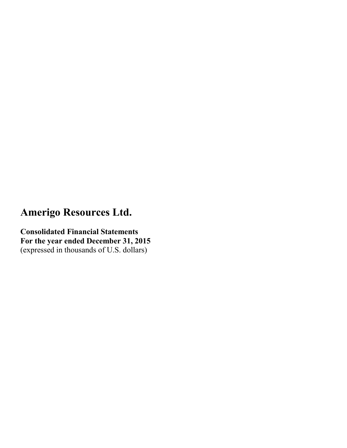**Consolidated Financial Statements For the year ended December 31, 2015** (expressed in thousands of U.S. dollars)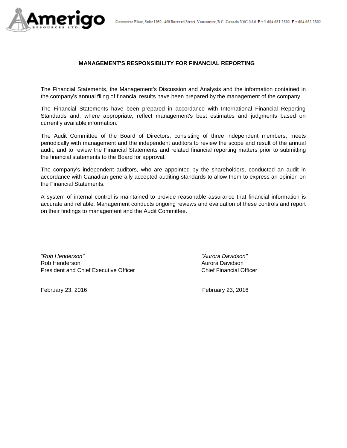

#### **MANAGEMENT'S RESPONSIBILITY FOR FINANCIAL REPORTING**

The Financial Statements, the Management's Discussion and Analysis and the information contained in the company's annual filing of financial results have been prepared by the management of the company.

The Financial Statements have been prepared in accordance with International Financial Reporting Standards and, where appropriate, reflect management's best estimates and judgments based on currently available information.

The Audit Committee of the Board of Directors, consisting of three independent members, meets periodically with management and the independent auditors to review the scope and result of the annual audit, and to review the Financial Statements and related financial reporting matters prior to submitting the financial statements to the Board for approval.

The company's independent auditors, who are appointed by the shareholders, conducted an audit in accordance with Canadian generally accepted auditing standards to allow them to express an opinion on the Financial Statements.

A system of internal control is maintained to provide reasonable assurance that financial information is accurate and reliable. Management conducts ongoing reviews and evaluation of these controls and report on their findings to management and the Audit Committee.

*"Rob Henderson" "Aurora Davidson"* Rob Henderson **Aurora Davidson** Aurora Davidson President and Chief Executive Officer Chief Financial Officer

February 23, 2016 February 23, 2016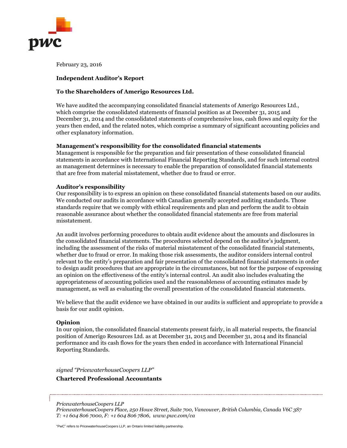

February 23, 2016

#### **Independent Auditor's Report**

#### **To the Shareholders of Amerigo Resources Ltd.**

We have audited the accompanying consolidated financial statements of Amerigo Resources Ltd., which comprise the consolidated statements of financial position as at December 31, 2015 and December 31, 2014 and the consolidated statements of comprehensive loss, cash flows and equity for the years then ended, and the related notes, which comprise a summary of significant accounting policies and other explanatory information.

#### **Management's responsibility for the consolidated financial statements**

Management is responsible for the preparation and fair presentation of these consolidated financial statements in accordance with International Financial Reporting Standards, and for such internal control as management determines is necessary to enable the preparation of consolidated financial statements that are free from material misstatement, whether due to fraud or error.

#### **Auditor's responsibility**

Our responsibility is to express an opinion on these consolidated financial statements based on our audits. We conducted our audits in accordance with Canadian generally accepted auditing standards. Those standards require that we comply with ethical requirements and plan and perform the audit to obtain reasonable assurance about whether the consolidated financial statements are free from material misstatement.

An audit involves performing procedures to obtain audit evidence about the amounts and disclosures in the consolidated financial statements. The procedures selected depend on the auditor's judgment, including the assessment of the risks of material misstatement of the consolidated financial statements, whether due to fraud or error. In making those risk assessments, the auditor considers internal control relevant to the entity's preparation and fair presentation of the consolidated financial statements in order to design audit procedures that are appropriate in the circumstances, but not for the purpose of expressing an opinion on the effectiveness of the entity's internal control. An audit also includes evaluating the appropriateness of accounting policies used and the reasonableness of accounting estimates made by management, as well as evaluating the overall presentation of the consolidated financial statements.

We believe that the audit evidence we have obtained in our audits is sufficient and appropriate to provide a basis for our audit opinion.

#### **Opinion**

In our opinion, the consolidated financial statements present fairly, in all material respects, the financial position of Amerigo Resources Ltd. as at December 31, 2015 and December 31, 2014 and its financial performance and its cash flows for the years then ended in accordance with International Financial Reporting Standards.

*signed "PricewaterhouseCoopers LLP"* **Chartered Professional Accountants**

*PricewaterhouseCoopers LLP*

*PricewaterhouseCoopers Place, 250 Howe Street, Suite 700, Vancouver, British Columbia, Canada V6C 3S7 T: +1 604 806 7000, F: +1 604 806 7806, www.pwc.com/ca*

"PwC" refers to PricewaterhouseCoopers LLP, an Ontario limited liability partnership.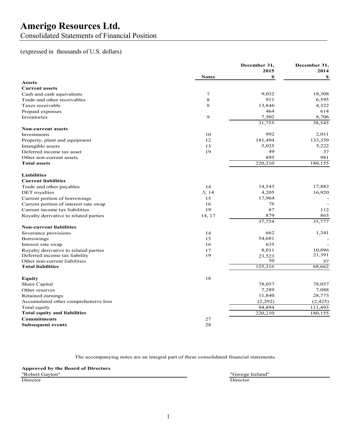Consolidated Statements of Financial Position

#### (expressed in thousands of U.S. dollars)

|                                        |              | December 31, | December 31, |
|----------------------------------------|--------------|--------------|--------------|
|                                        |              | 2015         | 2014         |
|                                        | <b>Notes</b> | \$           | \$           |
| <b>Assets</b><br><b>Current assets</b> |              |              |              |
| Cash and cash equivalents              | $\tau$       | 9,032        | 18,308       |
| Trade and other receivables            | 8            | 911          | 6,595        |
| Taxes receivable                       | 8            | 13,846       | 4,322        |
| Prepaid expenses                       |              | 464          | 614          |
| <b>Inventories</b>                     | 9            | 7,502        | 8,706        |
|                                        |              | 31,755       | 38,545       |
| <b>Non-current assets</b>              |              |              |              |
| Investments                            | 10           | 992          | 2,011        |
| Property, plant and equipment          | 12           | 181,494      | 133,359      |
| Intangible assets                      | 13           | 5,025        | 5,222        |
| Deferred income tax asset              | 19           | 49           | 37           |
| Other non-current assets               |              | 895          | 981          |
| <b>Total assets</b>                    |              | 220,210      | 180,155      |
|                                        |              |              |              |
| <b>Liabilities</b>                     |              |              |              |
| <b>Current liabilities</b>             |              |              |              |
| Trade and other payables               | 14           | 14,543       | 17,882       |
| <b>DET</b> royalties                   | 5, 14        | 4,205        | 16,920       |
| Current portion of borrowings          | 15           | 17,964       |              |
| Current portion of interest rate swap  | 16           | 76           |              |
| Current income tax liabilities         | 19           | 87           | 112          |
| Royalty derivative to related parties  | 14, 17       | 879          | 863          |
|                                        |              | 37,754       | 35,777       |
| <b>Non-current liabilities</b>         |              |              |              |
| Severance provisions                   | 14           | 662          | 1,341        |
| <b>Borrowings</b>                      | 15           | 54,681       |              |
| Interest rate swap                     | 16           | 635          |              |
| Royalty derivative to related parties  | 17           | 8,011        | 10,096       |
| Deferred income tax liability          | 19           | 23,523       | 21,391       |
| Other non-current liabilities          |              | 50           | 57           |
| <b>Total liabilities</b>               |              | 125,316      | 68,662       |
|                                        |              |              |              |
| Equity                                 | 18           |              |              |
| Share Capital                          |              | 78,057       | 78,057       |
| Other reserves                         |              | 7,289        | 7,088        |
| Retained earnings                      |              | 11,840       | 28,773       |
| Accumulated other comprehensive loss   |              | (2,292)      | (2, 425)     |
| Total equity                           |              | 94,894       | 111,493      |
| <b>Total equity and liabilities</b>    |              | 220,210      | 180,155      |
| <b>Commitments</b>                     | 27           |              |              |
| <b>Subsequent events</b>               | 28           |              |              |

The accompanying notes are an integral part of these consolidated financial statements.

**Approved by the Board of Directors** "Robert Gayton" "George Ireland"

Director Director **Director**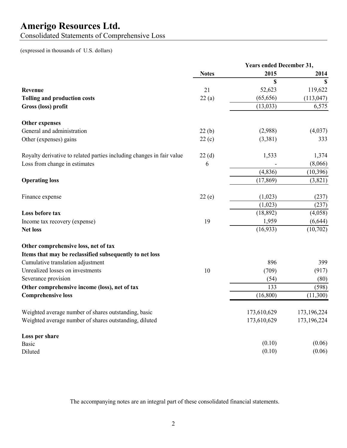Consolidated Statements of Comprehensive Loss

#### (expressed in thousands of U.S. dollars)

|                                                                       |              | <b>Years ended December 31,</b> |             |
|-----------------------------------------------------------------------|--------------|---------------------------------|-------------|
|                                                                       | <b>Notes</b> | 2015                            | 2014        |
|                                                                       |              | \$                              | $\mathbf S$ |
| Revenue                                                               | 21           | 52,623                          | 119,622     |
| <b>Tolling and production costs</b>                                   | 22(a)        | (65, 656)                       | (113, 047)  |
| Gross (loss) profit                                                   |              | (13, 033)                       | 6,575       |
| <b>Other expenses</b>                                                 |              |                                 |             |
| General and administration                                            | 22(b)        | (2,988)                         | (4,037)     |
| Other (expenses) gains                                                | 22(c)        | (3,381)                         | 333         |
| Royalty derivative to related parties including changes in fair value | 22(d)        | 1,533                           | 1,374       |
| Loss from change in estimates                                         | 6            |                                 | (8,066)     |
|                                                                       |              | (4, 836)                        | (10, 396)   |
| <b>Operating loss</b>                                                 |              | (17, 869)                       | (3,821)     |
| Finance expense                                                       | 22(e)        | (1,023)                         | (237)       |
|                                                                       |              | (1,023)                         | (237)       |
| Loss before tax                                                       |              | (18, 892)                       | (4,058)     |
| Income tax recovery (expense)                                         | 19           | 1,959                           | (6, 644)    |
| <b>Net loss</b>                                                       |              | (16, 933)                       | (10, 702)   |
| Other comprehensive loss, net of tax                                  |              |                                 |             |
| Items that may be reclassified subsequently to net loss               |              |                                 |             |
| Cumulative translation adjustment                                     |              | 896                             | 399         |
| Unrealized losses on investments                                      | $10\,$       | (709)                           | (917)       |
| Severance provision                                                   |              | (54)                            | (80)        |
| Other comprehensive income (loss), net of tax                         |              | 133                             | (598)       |
| <b>Comprehensive loss</b>                                             |              | (16, 800)                       | (11,300)    |
| Weighted average number of shares outstanding, basic                  |              | 173,610,629                     | 173,196,224 |
| Weighted average number of shares outstanding, diluted                |              | 173,610,629                     | 173,196,224 |
| Loss per share                                                        |              |                                 |             |
| <b>Basic</b>                                                          |              | (0.10)                          | (0.06)      |
| Diluted                                                               |              | (0.10)                          | (0.06)      |

The accompanying notes are an integral part of these consolidated financial statements.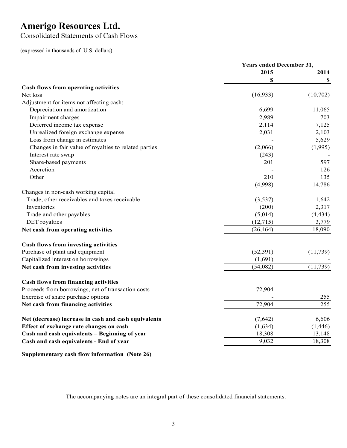Consolidated Statements of Cash Flows

(expressed in thousands of U.S. dollars)

|                                                       | <b>Years ended December 31,</b> |           |
|-------------------------------------------------------|---------------------------------|-----------|
|                                                       | 2015                            | 2014      |
|                                                       | \$                              | \$        |
| <b>Cash flows from operating activities</b>           |                                 |           |
| Net loss                                              | (16, 933)                       | (10,702)  |
| Adjustment for items not affecting cash:              |                                 |           |
| Depreciation and amortization                         | 6,699                           | 11,065    |
| Impairment charges                                    | 2,989                           | 703       |
| Deferred income tax expense                           | 2,114                           | 7,125     |
| Unrealized foreign exchange expense                   | 2,031                           | 2,103     |
| Loss from change in estimates                         |                                 | 5,629     |
| Changes in fair value of royalties to related parties | (2,066)                         | (1,995)   |
| Interest rate swap                                    | (243)                           |           |
| Share-based payments                                  | 201                             | 597       |
| Accretion                                             |                                 | 126       |
| Other                                                 | 210                             | 135       |
|                                                       | (4,998)                         | 14,786    |
| Changes in non-cash working capital                   |                                 |           |
| Trade, other receivables and taxes receivable         | (3, 537)                        | 1,642     |
| Inventories                                           | (200)                           | 2,317     |
| Trade and other payables                              | (5,014)                         | (4, 434)  |
| DET royalties                                         | (12, 715)                       | 3,779     |
| Net cash from operating activities                    | (26, 464)                       | 18,090    |
| Cash flows from investing activities                  |                                 |           |
| Purchase of plant and equipment                       | (52, 391)                       | (11, 739) |
| Capitalized interest on borrowings                    | (1,691)                         |           |
| Net cash from investing activities                    | (54,082)                        | (11, 739) |
| <b>Cash flows from financing activities</b>           |                                 |           |
| Proceeds from borrowings, net of transaction costs    | 72,904                          |           |
| Exercise of share purchase options                    |                                 | 255       |
| Net cash from financing activities                    | 72,904                          | 255       |
|                                                       |                                 |           |
| Net (decrease) increase in cash and cash equivalents  | (7,642)                         | 6,606     |
| Effect of exchange rate changes on cash               | (1,634)                         | (1, 446)  |
| Cash and cash equivalents - Beginning of year         | 18,308                          | 13,148    |
| Cash and cash equivalents - End of year               | 9,032                           | 18,308    |
| Supplementary cash flow information (Note 26)         |                                 |           |

The accompanying notes are an integral part of these consolidated financial statements.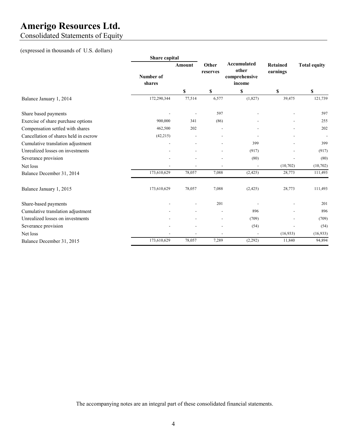Consolidated Statements of Equity

#### (expressed in thousands of U.S. dollars)

| $\sqrt{1}$                            | Share capital       |               |                   |                                                 |                             |                          |
|---------------------------------------|---------------------|---------------|-------------------|-------------------------------------------------|-----------------------------|--------------------------|
|                                       | Number of<br>shares | <b>Amount</b> | Other<br>reserves | Accumulated<br>other<br>comprehensive<br>income | <b>Retained</b><br>earnings | <b>Total equity</b>      |
|                                       |                     | \$            | \$                | \$                                              | \$                          | \$                       |
| Balance January 1, 2014               | 172,290,344         | 77,514        | 6,577             | (1,827)                                         | 39,475                      | 121,739                  |
| Share based payments                  |                     |               | 597               |                                                 |                             | 597                      |
| Exercise of share purchase options    | 900,000             | 341           | (86)              |                                                 |                             | 255                      |
| Compensation settled with shares      | 462,500             | 202           |                   |                                                 |                             | 202                      |
| Cancellation of shares held in escrow | (42, 215)           |               |                   |                                                 |                             | $\overline{\phantom{a}}$ |
| Cumulative translation adjustment     |                     |               |                   | 399                                             |                             | 399                      |
| Unrealized losses on investments      |                     |               |                   | (917)                                           |                             | (917)                    |
| Severance provision                   |                     |               |                   | (80)                                            |                             | (80)                     |
| Net loss                              |                     |               |                   | $\overline{\phantom{a}}$                        | (10,702)                    | (10,702)                 |
| Balance December 31, 2014             | 173,610,629         | 78,057        | 7,088             | (2, 425)                                        | 28,773                      | 111,493                  |
| Balance January 1, 2015               | 173,610,629         | 78,057        | 7,088             | (2, 425)                                        | 28,773                      | 111,493                  |
| Share-based payments                  |                     |               | 201               |                                                 |                             | 201                      |
| Cumulative translation adjustment     |                     |               |                   | 896                                             |                             | 896                      |
| Unrealized losses on investments      |                     |               |                   | (709)                                           |                             | (709)                    |
| Severance provision                   |                     |               |                   | (54)                                            |                             | (54)                     |
| Net loss                              |                     |               |                   |                                                 | (16,933)                    | (16, 933)                |
| Balance December 31, 2015             | 173,610,629         | 78,057        | 7,289             | (2,292)                                         | 11,840                      | 94,894                   |

The accompanying notes are an integral part of these consolidated financial statements.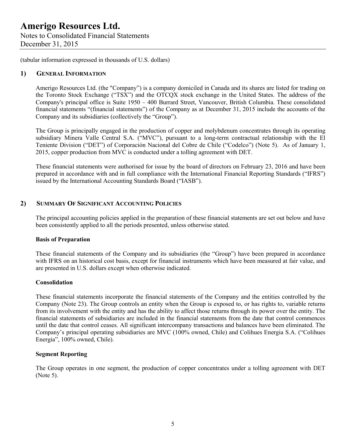Notes to Consolidated Financial Statements December 31, 2015

(tabular information expressed in thousands of U.S. dollars)

#### **1) GENERAL INFORMATION**

Amerigo Resources Ltd. (the "Company") is a company domiciled in Canada and its shares are listed for trading on the Toronto Stock Exchange ("TSX") and the OTCQX stock exchange in the United States. The address of the Company's principal office is Suite 1950 – 400 Burrard Street, Vancouver, British Columbia. These consolidated financial statements "(financial statements") of the Company as at December 31, 2015 include the accounts of the Company and its subsidiaries (collectively the "Group").

The Group is principally engaged in the production of copper and molybdenum concentrates through its operating subsidiary Minera Valle Central S.A. ("MVC"), pursuant to a long-term contractual relationship with the El Teniente Division ("DET") of Corporación Nacional del Cobre de Chile ("Codelco") (Note 5). As of January 1, 2015, copper production from MVC is conducted under a tolling agreement with DET.

These financial statements were authorised for issue by the board of directors on February 23, 2016 and have been prepared in accordance with and in full compliance with the International Financial Reporting Standards ("IFRS") issued by the International Accounting Standards Board ("IASB").

#### **2) SUMMARY OF SIGNIFICANT ACCOUNTING POLICIES**

The principal accounting policies applied in the preparation of these financial statements are set out below and have been consistently applied to all the periods presented, unless otherwise stated.

#### **Basis of Preparation**

These financial statements of the Company and its subsidiaries (the "Group") have been prepared in accordance with IFRS on an historical cost basis, except for financial instruments which have been measured at fair value, and are presented in U.S. dollars except when otherwise indicated.

#### **Consolidation**

These financial statements incorporate the financial statements of the Company and the entities controlled by the Company (Note 23). The Group controls an entity when the Group is exposed to, or has rights to, variable returns from its involvement with the entity and has the ability to affect those returns through its power over the entity. The financial statements of subsidiaries are included in the financial statements from the date that control commences until the date that control ceases. All significant intercompany transactions and balances have been eliminated. The Company's principal operating subsidiaries are MVC (100% owned, Chile) and Colihues Energia S.A. ("Colihues Energia", 100% owned, Chile).

#### **Segment Reporting**

The Group operates in one segment, the production of copper concentrates under a tolling agreement with DET (Note 5).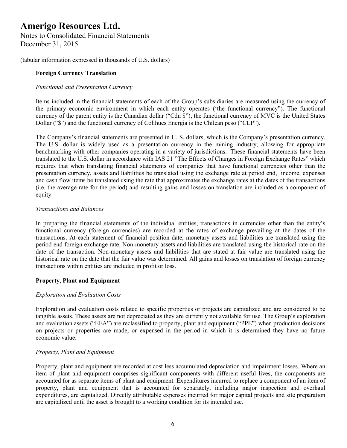Notes to Consolidated Financial Statements December 31, 2015

(tabular information expressed in thousands of U.S. dollars)

#### **Foreign Currency Translation**

#### *Functional and Presentation Currency*

Items included in the financial statements of each of the Group's subsidiaries are measured using the currency of the primary economic environment in which each entity operates ('the functional currency"). The functional currency of the parent entity is the Canadian dollar ("Cdn \$"), the functional currency of MVC is the United States Dollar ("\$") and the functional currency of Colihues Energia is the Chilean peso ("CLP").

The Company's financial statements are presented in U. S. dollars, which is the Company's presentation currency. The U.S. dollar is widely used as a presentation currency in the mining industry, allowing for appropriate benchmarking with other companies operating in a variety of jurisdictions. These financial statements have been translated to the U.S. dollar in accordance with IAS 21 "The Effects of Changes in Foreign Exchange Rates" which requires that when translating financial statements of companies that have functional currencies other than the presentation currency, assets and liabilities be translated using the exchange rate at period end, income, expenses and cash flow items be translated using the rate that approximates the exchange rates at the dates of the transactions (i.e. the average rate for the period) and resulting gains and losses on translation are included as a component of equity.

#### *Transactions and Balances*

In preparing the financial statements of the individual entities, transactions in currencies other than the entity's functional currency (foreign currencies) are recorded at the rates of exchange prevailing at the dates of the transactions. At each statement of financial position date, monetary assets and liabilities are translated using the period end foreign exchange rate. Non-monetary assets and liabilities are translated using the historical rate on the date of the transaction. Non-monetary assets and liabilities that are stated at fair value are translated using the historical rate on the date that the fair value was determined. All gains and losses on translation of foreign currency transactions within entities are included in profit or loss.

#### **Property, Plant and Equipment**

#### *Exploration and Evaluation Costs*

Exploration and evaluation costs related to specific properties or projects are capitalized and are considered to be tangible assets. These assets are not depreciated as they are currently not available for use. The Group's exploration and evaluation assets ("EEA") are reclassified to property, plant and equipment ("PPE") when production decisions on projects or properties are made, or expensed in the period in which it is determined they have no future economic value.

#### *Property, Plant and Equipment*

Property, plant and equipment are recorded at cost less accumulated depreciation and impairment losses. Where an item of plant and equipment comprises significant components with different useful lives, the components are accounted for as separate items of plant and equipment. Expenditures incurred to replace a component of an item of property, plant and equipment that is accounted for separately, including major inspection and overhaul expenditures, are capitalized. Directly attributable expenses incurred for major capital projects and site preparation are capitalized until the asset is brought to a working condition for its intended use.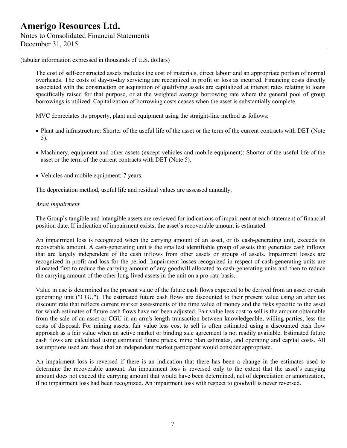The cost of self-constructed assets includes the cost of materials, direct labour and an appropriate portion of normal overheads. The costs of day-to-day servicing are recognized in profit or loss as incurred. Financing costs directly associated with the construction or acquisition of qualifying assets are capitalized at interest rates relating to loans specifically raised for that purpose, or at the weighted average borrowing rate where the general pool of group borrowings is utilized. Capitalization of borrowing costs ceases when the asset is substantially complete.

MVC depreciates its property, plant and equipment using the straight-line method as follows:

- Plant and infrastructure: Shorter of the useful life of the asset or the term of the current contracts with DET (Note 5).
- Machinery, equipment and other assets (except vehicles and mobile equipment): Shorter of the useful life of the asset or the term of the current contracts with DET (Note 5).
- Vehicles and mobile equipment: 7 years.

The depreciation method, useful life and residual values are assessed annually.

#### *Asset Impairment*

The Group's tangible and intangible assets are reviewed for indications of impairment at each statement of financial position date. If indication of impairment exists, the asset's recoverable amount is estimated.

An impairment loss is recognized when the carrying amount of an asset, or its cash-generating unit, exceeds its recoverable amount. A cash-generating unit is the smallest identifiable group of assets that generates cash inflows that are largely independent of the cash inflows from other assets or groups of assets. Impairment losses are recognized in profit and loss for the period. Impairment losses recognized in respect of cash-generating units are allocated first to reduce the carrying amount of any goodwill allocated to cash-generating units and then to reduce the carrying amount of the other long-lived assets in the unit on a pro-rata basis.

Value in use is determined as the present value of the future cash flows expected to be derived from an asset or cash generating unit ("CGU"). The estimated future cash flows are discounted to their present value using an after tax discount rate that reflects current market assessments of the time value of money and the risks specific to the asset for which estimates of future cash flows have not been adjusted. Fair value less cost to sell is the amount obtainable from the sale of an asset or CGU in an arm's length transaction between knowledgeable, willing parties, less the costs of disposal. For mining assets, fair value less cost to sell is often estimated using a discounted cash flow approach as a fair value when an active market or binding sale agreement is not readily available. Estimated future cash flows are calculated using estimated future prices, mine plan estimates, and operating and capital costs. All assumptions used are those that an independent market participant would consider appropriate.

An impairment loss is reversed if there is an indication that there has been a change in the estimates used to determine the recoverable amount. An impairment loss is reversed only to the extent that the asset's carrying amount does not exceed the carrying amount that would have been determined, net of depreciation or amortization, if no impairment loss had been recognized. An impairment loss with respect to goodwill is never reversed.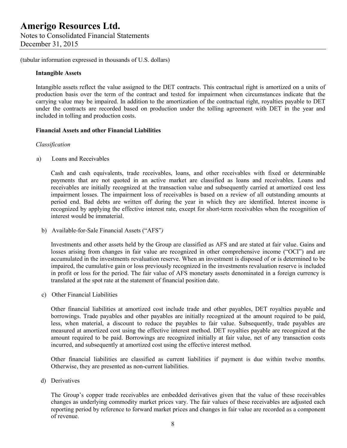#### **Intangible Assets**

Intangible assets reflect the value assigned to the DET contracts. This contractual right is amortized on a units of production basis over the term of the contract and tested for impairment when circumstances indicate that the carrying value may be impaired. In addition to the amortization of the contractual right, royalties payable to DET under the contracts are recorded based on production under the tolling agreement with DET in the year and included in tolling and production costs.

#### **Financial Assets and other Financial Liabilities**

#### *Classification*

a) Loans and Receivables

Cash and cash equivalents, trade receivables, loans, and other receivables with fixed or determinable payments that are not quoted in an active market are classified as loans and receivables. Loans and receivables are initially recognized at the transaction value and subsequently carried at amortized cost less impairment losses. The impairment loss of receivables is based on a review of all outstanding amounts at period end. Bad debts are written off during the year in which they are identified. Interest income is recognized by applying the effective interest rate, except for short-term receivables when the recognition of interest would be immaterial.

b) Available-for-Sale Financial Assets ("AFS"*)*

Investments and other assets held by the Group are classified as AFS and are stated at fair value. Gains and losses arising from changes in fair value are recognized in other comprehensive income ("OCI") and are accumulated in the investments revaluation reserve. When an investment is disposed of or is determined to be impaired, the cumulative gain or loss previously recognized in the investments revaluation reserve is included in profit or loss for the period. The fair value of AFS monetary assets denominated in a foreign currency is translated at the spot rate at the statement of financial position date.

c) Other Financial Liabilities

Other financial liabilities at amortized cost include trade and other payables, DET royalties payable and borrowings. Trade payables and other payables are initially recognized at the amount required to be paid, less, when material, a discount to reduce the payables to fair value. Subsequently, trade payables are measured at amortized cost using the effective interest method. DET royalties payable are recognized at the amount required to be paid. Borrowings are recognized initially at fair value, net of any transaction costs incurred, and subsequently at amortized cost using the effective interest method.

Other financial liabilities are classified as current liabilities if payment is due within twelve months. Otherwise, they are presented as non-current liabilities.

d) Derivatives

The Group's copper trade receivables are embedded derivatives given that the value of these receivables changes as underlying commodity market prices vary. The fair values of these receivables are adjusted each reporting period by reference to forward market prices and changes in fair value are recorded as a component of revenue.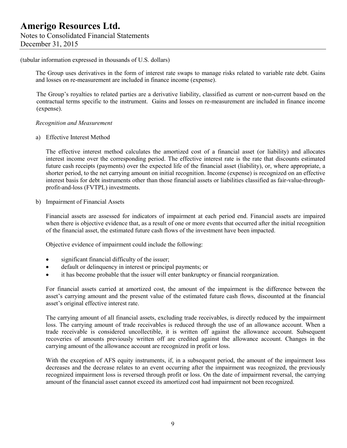The Group uses derivatives in the form of interest rate swaps to manage risks related to variable rate debt. Gains and losses on re-measurement are included in finance income (expense).

The Group's royalties to related parties are a derivative liability, classified as current or non-current based on the contractual terms specific to the instrument. Gains and losses on re-measurement are included in finance income (expense).

*Recognition and Measurement*

a) Effective Interest Method

The effective interest method calculates the amortized cost of a financial asset (or liability) and allocates interest income over the corresponding period. The effective interest rate is the rate that discounts estimated future cash receipts (payments) over the expected life of the financial asset (liability), or, where appropriate, a shorter period, to the net carrying amount on initial recognition. Income (expense) is recognized on an effective interest basis for debt instruments other than those financial assets or liabilities classified as fair-value-throughprofit-and-loss (FVTPL) investments.

b) Impairment of Financial Assets

Financial assets are assessed for indicators of impairment at each period end. Financial assets are impaired when there is objective evidence that, as a result of one or more events that occurred after the initial recognition of the financial asset, the estimated future cash flows of the investment have been impacted.

Objective evidence of impairment could include the following:

- significant financial difficulty of the issuer;
- default or delinquency in interest or principal payments; or
- it has become probable that the issuer will enter bankruptcy or financial reorganization.

For financial assets carried at amortized cost, the amount of the impairment is the difference between the asset's carrying amount and the present value of the estimated future cash flows, discounted at the financial asset's original effective interest rate.

The carrying amount of all financial assets, excluding trade receivables, is directly reduced by the impairment loss. The carrying amount of trade receivables is reduced through the use of an allowance account. When a trade receivable is considered uncollectible, it is written off against the allowance account. Subsequent recoveries of amounts previously written off are credited against the allowance account. Changes in the carrying amount of the allowance account are recognized in profit or loss.

With the exception of AFS equity instruments, if, in a subsequent period, the amount of the impairment loss decreases and the decrease relates to an event occurring after the impairment was recognized, the previously recognized impairment loss is reversed through profit or loss. On the date of impairment reversal, the carrying amount of the financial asset cannot exceed its amortized cost had impairment not been recognized.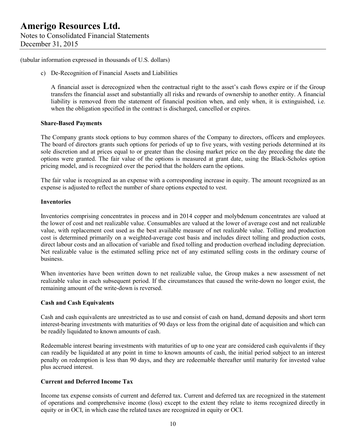c) De-Recognition of Financial Assets and Liabilities

A financial asset is derecognized when the contractual right to the asset's cash flows expire or if the Group transfers the financial asset and substantially all risks and rewards of ownership to another entity. A financial liability is removed from the statement of financial position when, and only when, it is extinguished, i.e. when the obligation specified in the contract is discharged, cancelled or expires.

#### **Share-Based Payments**

The Company grants stock options to buy common shares of the Company to directors, officers and employees. The board of directors grants such options for periods of up to five years, with vesting periods determined at its sole discretion and at prices equal to or greater than the closing market price on the day preceding the date the options were granted. The fair value of the options is measured at grant date, using the Black-Scholes option pricing model, and is recognized over the period that the holders earn the options.

The fair value is recognized as an expense with a corresponding increase in equity. The amount recognized as an expense is adjusted to reflect the number of share options expected to vest.

#### **Inventories**

Inventories comprising concentrates in process and in 2014 copper and molybdenum concentrates are valued at the lower of cost and net realizable value. Consumables are valued at the lower of average cost and net realizable value, with replacement cost used as the best available measure of net realizable value. Tolling and production cost is determined primarily on a weighted-average cost basis and includes direct tolling and production costs, direct labour costs and an allocation of variable and fixed tolling and production overhead including depreciation. Net realizable value is the estimated selling price net of any estimated selling costs in the ordinary course of business.

When inventories have been written down to net realizable value, the Group makes a new assessment of net realizable value in each subsequent period. If the circumstances that caused the write-down no longer exist, the remaining amount of the write-down is reversed.

#### **Cash and Cash Equivalents**

Cash and cash equivalents are unrestricted as to use and consist of cash on hand, demand deposits and short term interest-bearing investments with maturities of 90 days or less from the original date of acquisition and which can be readily liquidated to known amounts of cash.

Redeemable interest bearing investments with maturities of up to one year are considered cash equivalents if they can readily be liquidated at any point in time to known amounts of cash, the initial period subject to an interest penalty on redemption is less than 90 days, and they are redeemable thereafter until maturity for invested value plus accrued interest.

#### **Current and Deferred Income Tax**

Income tax expense consists of current and deferred tax. Current and deferred tax are recognized in the statement of operations and comprehensive income (loss) except to the extent they relate to items recognized directly in equity or in OCI, in which case the related taxes are recognized in equity or OCI.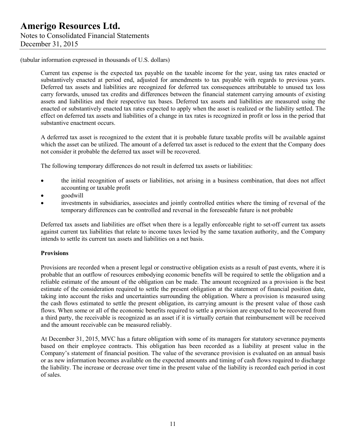Current tax expense is the expected tax payable on the taxable income for the year, using tax rates enacted or substantively enacted at period end, adjusted for amendments to tax payable with regards to previous years. Deferred tax assets and liabilities are recognized for deferred tax consequences attributable to unused tax loss carry forwards, unused tax credits and differences between the financial statement carrying amounts of existing assets and liabilities and their respective tax bases. Deferred tax assets and liabilities are measured using the enacted or substantively enacted tax rates expected to apply when the asset is realized or the liability settled. The effect on deferred tax assets and liabilities of a change in tax rates is recognized in profit or loss in the period that substantive enactment occurs.

A deferred tax asset is recognized to the extent that it is probable future taxable profits will be available against which the asset can be utilized. The amount of a deferred tax asset is reduced to the extent that the Company does not consider it probable the deferred tax asset will be recovered.

The following temporary differences do not result in deferred tax assets or liabilities:

- the initial recognition of assets or liabilities, not arising in a business combination, that does not affect accounting or taxable profit
- goodwill
- investments in subsidiaries, associates and jointly controlled entities where the timing of reversal of the temporary differences can be controlled and reversal in the foreseeable future is not probable

Deferred tax assets and liabilities are offset when there is a legally enforceable right to set-off current tax assets against current tax liabilities that relate to income taxes levied by the same taxation authority, and the Company intends to settle its current tax assets and liabilities on a net basis.

#### **Provisions**

Provisions are recorded when a present legal or constructive obligation exists as a result of past events, where it is probable that an outflow of resources embodying economic benefits will be required to settle the obligation and a reliable estimate of the amount of the obligation can be made. The amount recognized as a provision is the best estimate of the consideration required to settle the present obligation at the statement of financial position date, taking into account the risks and uncertainties surrounding the obligation. Where a provision is measured using the cash flows estimated to settle the present obligation, its carrying amount is the present value of those cash flows. When some or all of the economic benefits required to settle a provision are expected to be recovered from a third party, the receivable is recognized as an asset if it is virtually certain that reimbursement will be received and the amount receivable can be measured reliably.

At December 31, 2015, MVC has a future obligation with some of its managers for statutory severance payments based on their employee contracts. This obligation has been recorded as a liability at present value in the Company's statement of financial position. The value of the severance provision is evaluated on an annual basis or as new information becomes available on the expected amounts and timing of cash flows required to discharge the liability. The increase or decrease over time in the present value of the liability is recorded each period in cost of sales.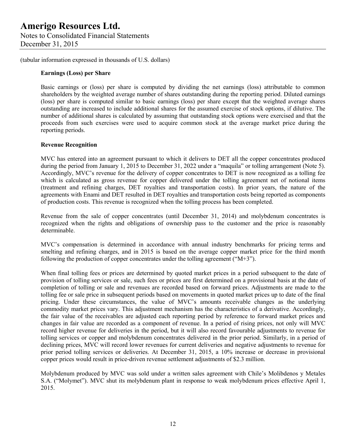#### **Amerigo Resources Ltd.** Notes to Consolidated Financial Statements December 31, 2015

(tabular information expressed in thousands of U.S. dollars)

#### **Earnings (Loss) per Share**

Basic earnings or (loss) per share is computed by dividing the net earnings (loss) attributable to common shareholders by the weighted average number of shares outstanding during the reporting period. Diluted earnings (loss) per share is computed similar to basic earnings (loss) per share except that the weighted average shares outstanding are increased to include additional shares for the assumed exercise of stock options, if dilutive. The number of additional shares is calculated by assuming that outstanding stock options were exercised and that the proceeds from such exercises were used to acquire common stock at the average market price during the reporting periods.

#### **Revenue Recognition**

MVC has entered into an agreement pursuant to which it delivers to DET all the copper concentrates produced during the period from January 1, 2015 to December 31, 2022 under a "maquila" or tolling arrangement (Note 5). Accordingly, MVC's revenue for the delivery of copper concentrates to DET is now recognized as a tolling fee which is calculated as gross revenue for copper delivered under the tolling agreement net of notional items (treatment and refining charges, DET royalties and transportation costs). In prior years, the nature of the agreements with Enami and DET resulted in DET royalties and transportation costs being reported as components of production costs. This revenue is recognized when the tolling process has been completed.

Revenue from the sale of copper concentrates (until December 31, 2014) and molybdenum concentrates is recognized when the rights and obligations of ownership pass to the customer and the price is reasonably determinable.

MVC's compensation is determined in accordance with annual industry benchmarks for pricing terms and smelting and refining charges, and in 2015 is based on the average copper market price for the third month following the production of copper concentrates under the tolling agreement ("M+3").

When final tolling fees or prices are determined by quoted market prices in a period subsequent to the date of provision of tolling services or sale, such fees or prices are first determined on a provisional basis at the date of completion of tolling or sale and revenues are recorded based on forward prices. Adjustments are made to the tolling fee or sale price in subsequent periods based on movements in quoted market prices up to date of the final pricing. Under these circumstances, the value of MVC's amounts receivable changes as the underlying commodity market prices vary. This adjustment mechanism has the characteristics of a derivative. Accordingly, the fair value of the receivables are adjusted each reporting period by reference to forward market prices and changes in fair value are recorded as a component of revenue. In a period of rising prices, not only will MVC record higher revenue for deliveries in the period, but it will also record favourable adjustments to revenue for tolling services or copper and molybdenum concentrates delivered in the prior period. Similarly, in a period of declining prices, MVC will record lower revenues for current deliveries and negative adjustments to revenue for prior period tolling services or deliveries. At December 31, 2015, a 10% increase or decrease in provisional copper prices would result in price-driven revenue settlement adjustments of \$2.3 million.

Molybdenum produced by MVC was sold under a written sales agreement with Chile's Molibdenos y Metales S.A. ("Molymet"). MVC shut its molybdenum plant in response to weak molybdenum prices effective April 1, 2015.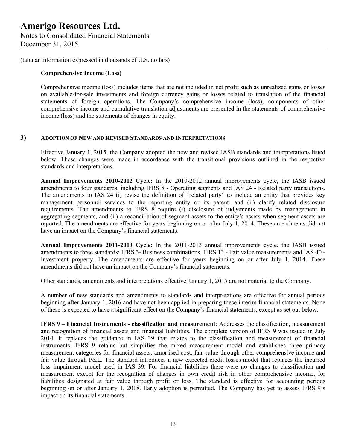December 31, 2015

(tabular information expressed in thousands of U.S. dollars)

#### **Comprehensive Income (Loss)**

Comprehensive income (loss) includes items that are not included in net profit such as unrealized gains or losses on available-for-sale investments and foreign currency gains or losses related to translation of the financial statements of foreign operations. The Company's comprehensive income (loss), components of other comprehensive income and cumulative translation adjustments are presented in the statements of comprehensive income (loss) and the statements of changes in equity.

#### **3) ADOPTION OF NEW AND REVISED STANDARDS AND INTERPRETATIONS**

Effective January 1, 2015, the Company adopted the new and revised IASB standards and interpretations listed below. These changes were made in accordance with the transitional provisions outlined in the respective standards and interpretations.

**Annual Improvements 2010-2012 Cycle:** In the 2010-2012 annual improvements cycle, the IASB issued amendments to four standards, including IFRS 8 - Operating segments and IAS 24 - Related party transactions. The amendments to IAS 24 (i) revise the definition of "related party" to include an entity that provides key management personnel services to the reporting entity or its parent, and (ii) clarify related disclosure requirements. The amendments to IFRS 8 require (i) disclosure of judgements made by management in aggregating segments, and (ii) a reconciliation of segment assets to the entity's assets when segment assets are reported. The amendments are effective for years beginning on or after July 1, 2014. These amendments did not have an impact on the Company's financial statements.

**Annual Improvements 2011-2013 Cycle:** In the 2011-2013 annual improvements cycle, the IASB issued amendments to three standards: IFRS 3- Business combinations, IFRS 13 - Fair value measurements and IAS 40 - Investment property. The amendments are effective for years beginning on or after July 1, 2014. These amendments did not have an impact on the Company's financial statements.

Other standards, amendments and interpretations effective January 1, 2015 are not material to the Company.

A number of new standards and amendments to standards and interpretations are effective for annual periods beginning after January 1, 2016 and have not been applied in preparing these interim financial statements. None of these is expected to have a significant effect on the Company's financial statements, except as set out below:

**IFRS 9 – Financial Instruments - classification and measurement**: Addresses the classification, measurement and recognition of financial assets and financial liabilities. The complete version of IFRS 9 was issued in July 2014. It replaces the guidance in IAS 39 that relates to the classification and measurement of financial instruments. IFRS 9 retains but simplifies the mixed measurement model and establishes three primary measurement categories for financial assets: amortised cost, fair value through other comprehensive income and fair value through P&L. The standard introduces a new expected credit losses model that replaces the incurred loss impairment model used in IAS 39. For financial liabilities there were no changes to classification and measurement except for the recognition of changes in own credit risk in other comprehensive income, for liabilities designated at fair value through profit or loss. The standard is effective for accounting periods beginning on or after January 1, 2018. Early adoption is permitted. The Company has yet to assess IFRS 9's impact on its financial statements.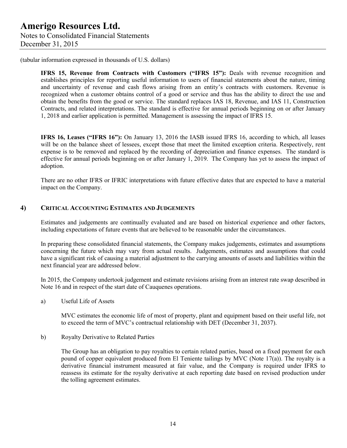**IFRS 15, Revenue from Contracts with Customers ("IFRS 15"):** Deals with revenue recognition and establishes principles for reporting useful information to users of financial statements about the nature, timing and uncertainty of revenue and cash flows arising from an entity's contracts with customers. Revenue is recognized when a customer obtains control of a good or service and thus has the ability to direct the use and obtain the benefits from the good or service. The standard replaces IAS 18, Revenue, and IAS 11, Construction Contracts, and related interpretations. The standard is effective for annual periods beginning on or after January 1, 2018 and earlier application is permitted. Management is assessing the impact of IFRS 15.

**IFRS 16, Leases ("IFRS 16"):** On January 13, 2016 the IASB issued IFRS 16, according to which, all leases will be on the balance sheet of lessees, except those that meet the limited exception criteria. Respectively, rent expense is to be removed and replaced by the recording of depreciation and finance expenses. The standard is effective for annual periods beginning on or after January 1, 2019. The Company has yet to assess the impact of adoption.

There are no other IFRS or IFRIC interpretations with future effective dates that are expected to have a material impact on the Company.

#### **4) CRITICAL ACCOUNTING ESTIMATES AND JUDGEMENTS**

Estimates and judgements are continually evaluated and are based on historical experience and other factors, including expectations of future events that are believed to be reasonable under the circumstances.

In preparing these consolidated financial statements, the Company makes judgements, estimates and assumptions concerning the future which may vary from actual results. Judgements, estimates and assumptions that could have a significant risk of causing a material adjustment to the carrying amounts of assets and liabilities within the next financial year are addressed below.

In 2015, the Company undertook judgement and estimate revisions arising from an interest rate swap described in Note 16 and in respect of the start date of Cauquenes operations.

a) Useful Life of Assets

MVC estimates the economic life of most of property, plant and equipment based on their useful life, not to exceed the term of MVC's contractual relationship with DET (December 31, 2037).

b) Royalty Derivative to Related Parties

The Group has an obligation to pay royalties to certain related parties, based on a fixed payment for each pound of copper equivalent produced from El Teniente tailings by MVC (Note 17(a)). The royalty is a derivative financial instrument measured at fair value, and the Company is required under IFRS to reassess its estimate for the royalty derivative at each reporting date based on revised production under the tolling agreement estimates.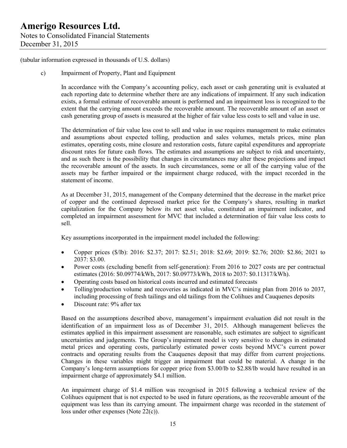c) Impairment of Property, Plant and Equipment

In accordance with the Company's accounting policy, each asset or cash generating unit is evaluated at each reporting date to determine whether there are any indications of impairment. If any such indication exists, a formal estimate of recoverable amount is performed and an impairment loss is recognized to the extent that the carrying amount exceeds the recoverable amount. The recoverable amount of an asset or cash generating group of assets is measured at the higher of fair value less costs to sell and value in use.

The determination of fair value less cost to sell and value in use requires management to make estimates and assumptions about expected tolling, production and sales volumes, metals prices, mine plan estimates, operating costs, mine closure and restoration costs, future capital expenditures and appropriate discount rates for future cash flows. The estimates and assumptions are subject to risk and uncertainty, and as such there is the possibility that changes in circumstances may alter these projections and impact the recoverable amount of the assets. In such circumstances, some or all of the carrying value of the assets may be further impaired or the impairment charge reduced, with the impact recorded in the statement of income.

As at December 31, 2015, management of the Company determined that the decrease in the market price of copper and the continued depressed market price for the Company's shares, resulting in market capitalization for the Company below its net asset value, constituted an impairment indicator, and completed an impairment assessment for MVC that included a determination of fair value less costs to sell.

Key assumptions incorporated in the impairment model included the following:

- Copper prices (\$/lb): 2016: \$2.37; 2017: \$2.51; 2018: \$2.69; 2019: \$2.76; 2020: \$2.86; 2021 to 2037: \$3.00.
- Power costs (excluding benefit from self-generation): From 2016 to 2027 costs are per contractual estimates (2016: \$0.09774/kWh, 2017: \$0.09773/kWh, 2018 to 2037: \$0.11317/kWh).
- Operating costs based on historical costs incurred and estimated forecasts
- Tolling/production volume and recoveries as indicated in MVC's mining plan from 2016 to 2037, including processing of fresh tailings and old tailings from the Colihues and Cauquenes deposits
- Discount rate: 9% after tax

Based on the assumptions described above, management's impairment evaluation did not result in the identification of an impairment loss as of December 31, 2015. Although management believes the estimates applied in this impairment assessment are reasonable, such estimates are subject to significant uncertainties and judgements. The Group's impairment model is very sensitive to changes in estimated metal prices and operating costs, particularly estimated power costs beyond MVC's current power contracts and operating results from the Cauquenes deposit that may differ from current projections. Changes in these variables might trigger an impairment that could be material. A change in the Company's long-term assumptions for copper price from \$3.00/lb to \$2.88/lb would have resulted in an impairment charge of approximately \$4.1 million.

An impairment charge of \$1.4 million was recognised in 2015 following a technical review of the Colihues equipment that is not expected to be used in future operations, as the recoverable amount of the equipment was less than its carrying amount. The impairment charge was recorded in the statement of loss under other expenses (Note 22(c)).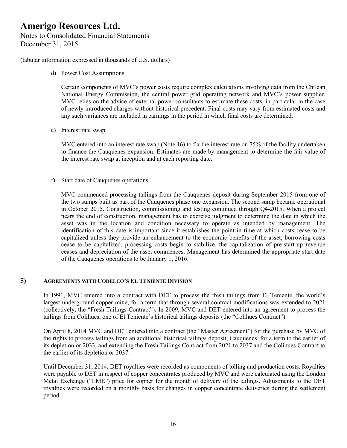d) Power Cost Assumptions

Certain components of MVC's power costs require complex calculations involving data from the Chilean National Energy Commission, the central power grid operating network and MVC's power supplier. MVC relies on the advice of external power consultants to estimate these costs, in particular in the case of newly introduced charges without historical precedent. Final costs may vary from estimated costs and any such variances are included in earnings in the period in which final costs are determined.

e) Interest rate swap

MVC entered into an interest rate swap (Note 16) to fix the interest rate on 75% of the facility undertaken to finance the Cauquenes expansion. Estimates are made by management to determine the fair value of the interest rate swap at inception and at each reporting date.

f) Start date of Cauquenes operations

MVC commenced processing tailings from the Cauquenes deposit during September 2015 from one of the two sumps built as part of the Cauquenes phase one expansion. The second sump became operational in October 2015. Construction, commissioning and testing continued through Q4-2015. When a project nears the end of construction, management has to exercise judgment to determine the date in which the asset was in the location and condition necessary to operate as intended by management. The identification of this date is important since it establishes the point in time at which costs cease to be capitalized unless they provide an enhancement to the economic benefits of the asset, borrowing costs cease to be capitalized, processing costs begin to stabilize, the capitalization of pre-start-up revenue ceases and depreciation of the asset commences. Management has determined the appropriate start date of the Cauquenes operations to be January 1, 2016.

#### **5) AGREEMENTS WITH CODELCO'S EL TENIENTE DIVISION**

In 1991, MVC entered into a contract with DET to process the fresh tailings from El Teniente, the world's largest underground copper mine, for a term that through several contract modifications was extended to 2021 (collectively, the "Fresh Tailings Contract"). In 2009, MVC and DET entered into an agreement to process the tailings from Colihues, one of El Teniente's historical tailings deposits (the "Colihues Contract").

On April 8, 2014 MVC and DET entered into a contract (the "Master Agreement") for the purchase by MVC of the rights to process tailings from an additional historical tailings deposit, Cauquenes, for a term to the earlier of its depletion or 2033, and extending the Fresh Tailings Contract from 2021 to 2037 and the Colihues Contract to the earlier of its depletion or 2037.

Until December 31, 2014, DET royalties were recorded as components of tolling and production costs. Royalties were payable to DET in respect of copper concentrates produced by MVC and were calculated using the London Metal Exchange ("LME") price for copper for the month of delivery of the tailings. Adjustments to the DET royalties were recorded on a monthly basis for changes in copper concentrate deliveries during the settlement period.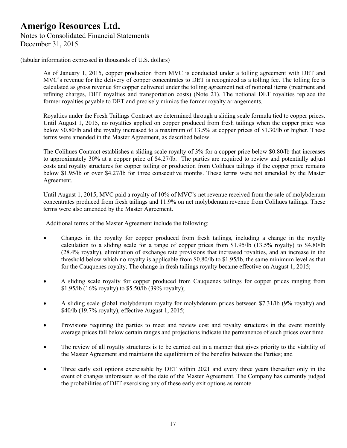As of January 1, 2015, copper production from MVC is conducted under a tolling agreement with DET and MVC's revenue for the delivery of copper concentrates to DET is recognized as a tolling fee. The tolling fee is calculated as gross revenue for copper delivered under the tolling agreement net of notional items (treatment and refining charges, DET royalties and transportation costs) (Note 21). The notional DET royalties replace the former royalties payable to DET and precisely mimics the former royalty arrangements.

Royalties under the Fresh Tailings Contract are determined through a sliding scale formula tied to copper prices. Until August 1, 2015, no royalties applied on copper produced from fresh tailings when the copper price was below \$0.80/lb and the royalty increased to a maximum of 13.5% at copper prices of \$1.30/lb or higher. These terms were amended in the Master Agreement, as described below.

The Colihues Contract establishes a sliding scale royalty of 3% for a copper price below \$0.80/lb that increases to approximately 30% at a copper price of \$4.27/lb. The parties are required to review and potentially adjust costs and royalty structures for copper tolling or production from Colihues tailings if the copper price remains below \$1.95/lb or over \$4.27/lb for three consecutive months. These terms were not amended by the Master Agreement.

Until August 1, 2015, MVC paid a royalty of 10% of MVC's net revenue received from the sale of molybdenum concentrates produced from fresh tailings and 11.9% on net molybdenum revenue from Colihues tailings. These terms were also amended by the Master Agreement.

Additional terms of the Master Agreement include the following:

- Changes in the royalty for copper produced from fresh tailings, including a change in the royalty calculation to a sliding scale for a range of copper prices from \$1.95/lb (13.5% royalty) to \$4.80/lb (28.4% royalty), elimination of exchange rate provisions that increased royalties, and an increase in the threshold below which no royalty is applicable from \$0.80/lb to \$1.95/lb, the same minimum level as that for the Cauquenes royalty. The change in fresh tailings royalty became effective on August 1, 2015;
- A sliding scale royalty for copper produced from Cauquenes tailings for copper prices ranging from \$1.95/lb (16% royalty) to \$5.50/lb (39% royalty);
- A sliding scale global molybdenum royalty for molybdenum prices between \$7.31/lb (9% royalty) and \$40/lb (19.7% royalty), effective August 1, 2015;
- Provisions requiring the parties to meet and review cost and royalty structures in the event monthly average prices fall below certain ranges and projections indicate the permanence of such prices over time.
- The review of all royalty structures is to be carried out in a manner that gives priority to the viability of the Master Agreement and maintains the equilibrium of the benefits between the Parties; and
- Three early exit options exercisable by DET within 2021 and every three years thereafter only in the event of changes unforeseen as of the date of the Master Agreement. The Company has currently judged the probabilities of DET exercising any of these early exit options as remote.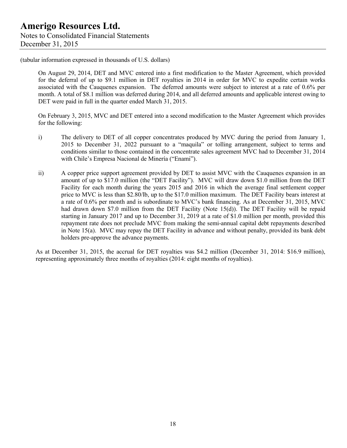On August 29, 2014, DET and MVC entered into a first modification to the Master Agreement, which provided for the deferral of up to \$9.1 million in DET royalties in 2014 in order for MVC to expedite certain works associated with the Cauquenes expansion. The deferred amounts were subject to interest at a rate of 0.6% per month. A total of \$8.1 million was deferred during 2014, and all deferred amounts and applicable interest owing to DET were paid in full in the quarter ended March 31, 2015.

On February 3, 2015, MVC and DET entered into a second modification to the Master Agreement which provides for the following:

- i) The delivery to DET of all copper concentrates produced by MVC during the period from January 1, 2015 to December 31, 2022 pursuant to a "maquila" or tolling arrangement, subject to terms and conditions similar to those contained in the concentrate sales agreement MVC had to December 31, 2014 with Chile's Empresa Nacional de Minería ("Enami").
- ii) A copper price support agreement provided by DET to assist MVC with the Cauquenes expansion in an amount of up to \$17.0 million (the "DET Facility"). MVC will draw down \$1.0 million from the DET Facility for each month during the years 2015 and 2016 in which the average final settlement copper price to MVC is less than \$2.80/lb, up to the \$17.0 million maximum. The DET Facility bears interest at a rate of 0.6% per month and is subordinate to MVC's bank financing. As at December 31, 2015, MVC had drawn down \$7.0 million from the DET Facility (Note 15(d)). The DET Facility will be repaid starting in January 2017 and up to December 31, 2019 at a rate of \$1.0 million per month, provided this repayment rate does not preclude MVC from making the semi-annual capital debt repayments described in Note 15(a). MVC may repay the DET Facility in advance and without penalty, provided its bank debt holders pre-approve the advance payments.

As at December 31, 2015, the accrual for DET royalties was \$4.2 million (December 31, 2014: \$16.9 million), representing approximately three months of royalties (2014: eight months of royalties).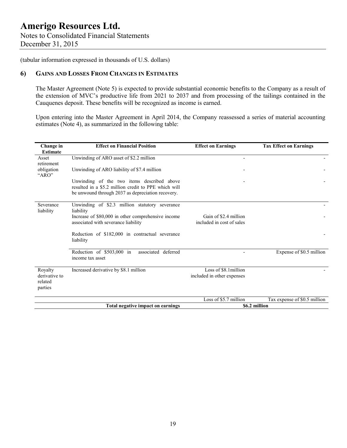### **Amerigo Resources Ltd.** Notes to Consolidated Financial Statements

December 31, 2015

(tabular information expressed in thousands of U.S. dollars)

#### **6) GAINS AND LOSSES FROM CHANGES IN ESTIMATES**

The Master Agreement (Note 5) is expected to provide substantial economic benefits to the Company as a result of the extension of MVC's productive life from 2021 to 2037 and from processing of the tailings contained in the Cauquenes deposit. These benefits will be recognized as income is earned.

Upon entering into the Master Agreement in April 2014, the Company reassessed a series of material accounting estimates (Note 4), as summarized in the following table:

| Change in<br><b>Estimate</b> | <b>Effect on Financial Position</b>                                                                                                                     | <b>Effect on Earnings</b>                          | <b>Tax Effect on Earnings</b> |
|------------------------------|---------------------------------------------------------------------------------------------------------------------------------------------------------|----------------------------------------------------|-------------------------------|
| Asset<br>retirement          | Unwinding of ARO asset of \$2.2 million                                                                                                                 |                                                    |                               |
| obligation<br>"ARO"          | Unwinding of ARO liability of \$7.4 million                                                                                                             |                                                    |                               |
|                              | Unwinding of the two items described above<br>resulted in a \$5.2 million credit to PPE which will<br>be unwound through 2037 as depreciation recovery. |                                                    |                               |
| Severance<br>liability       | Unwinding of \$2.3 million statutory severance<br>liability                                                                                             |                                                    |                               |
|                              | Increase of \$80,000 in other comprehensive income<br>associated with severance liability                                                               | Gain of \$2.4 million<br>included in cost of sales |                               |
|                              | Reduction of \$182,000 in contractual severance<br>liability                                                                                            |                                                    |                               |
|                              | associated deferred<br>Reduction of \$503,000 in<br>income tax asset                                                                                    |                                                    | Expense of \$0.5 million      |
| Royalty                      | Increased derivative by \$8.1 million                                                                                                                   | Loss of \$8.1 million                              |                               |
| derivative to                |                                                                                                                                                         | included in other expenses                         |                               |
| related<br>parties           |                                                                                                                                                         |                                                    |                               |
|                              |                                                                                                                                                         | Loss of \$5.7 million                              | Tax expense of \$0.5 million  |
|                              | <b>Total negative impact on earnings</b>                                                                                                                |                                                    | \$6.2 million                 |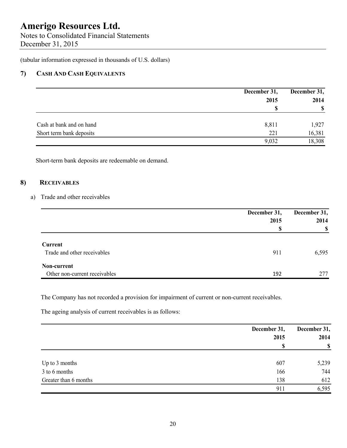Notes to Consolidated Financial Statements December 31, 2015

(tabular information expressed in thousands of U.S. dollars)

#### **7) CASH AND CASH EQUIVALENTS**

|                          | December 31, | December 31,<br>2014<br>S |
|--------------------------|--------------|---------------------------|
|                          | 2015         |                           |
|                          | S            |                           |
| Cash at bank and on hand | 8,811        | 1,927                     |
| Short term bank deposits | 221          | 16,381                    |
|                          | 9,032        | 18,308                    |

Short-term bank deposits are redeemable on demand.

#### **8) RECEIVABLES**

#### a) Trade and other receivables

|                               | December 31,<br>2015 | December 31,<br>2014 |
|-------------------------------|----------------------|----------------------|
|                               | S                    | \$                   |
|                               |                      |                      |
| Current                       |                      |                      |
| Trade and other receivables   | 911                  | 6,595                |
| Non-current                   |                      |                      |
| Other non-current receivables | 192                  | 277                  |

The Company has not recorded a provision for impairment of current or non-current receivables.

The ageing analysis of current receivables is as follows:

|                       | December 31, | December 31,  |
|-----------------------|--------------|---------------|
|                       | 2015         | 2014          |
|                       | S            | <sup>\$</sup> |
| Up to 3 months        | 607          | 5,239         |
| 3 to 6 months         | 166          | 744           |
| Greater than 6 months | 138          | 612           |
|                       | 911          | 6,595         |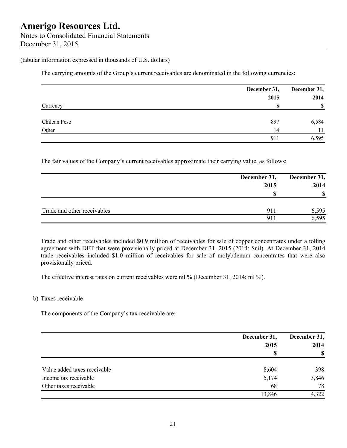The carrying amounts of the Group's current receivables are denominated in the following currencies:

|              | December 31, | December 31, |
|--------------|--------------|--------------|
|              | 2015         | 2014         |
| Currency     |              | \$           |
|              |              |              |
| Chilean Peso | 897          | 6,584        |
| Other        | 14           |              |
|              | 911          | 6,595        |

The fair values of the Company's current receivables approximate their carrying value, as follows:

|                             | December 31,<br>2015 | December 31,<br>2014 |
|-----------------------------|----------------------|----------------------|
|                             | œ                    | S                    |
|                             |                      |                      |
| Trade and other receivables | 911                  | 6,595                |
|                             | 911                  | 6,595                |

Trade and other receivables included \$0.9 million of receivables for sale of copper concentrates under a tolling agreement with DET that were provisionally priced at December 31, 2015 (2014: \$nil). At December 31, 2014 trade receivables included \$1.0 million of receivables for sale of molybdenum concentrates that were also provisionally priced.

The effective interest rates on current receivables were nil % (December 31, 2014: nil %).

#### b) Taxes receivable

The components of the Company's tax receivable are:

|                              | December 31, | December 31, |  |
|------------------------------|--------------|--------------|--|
|                              | 2015         | 2014         |  |
|                              |              | \$           |  |
| Value added taxes receivable | 8,604        | 398          |  |
| Income tax receivable        | 5,174        | 3,846        |  |
| Other taxes receivable       | 68           | 78           |  |
|                              | 13,846       | 4,322        |  |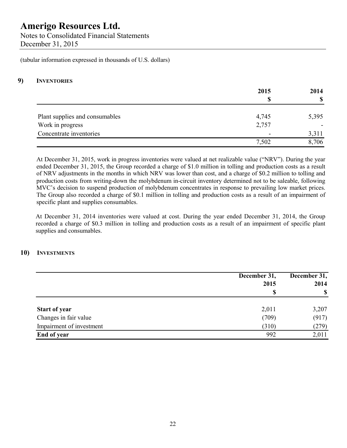Notes to Consolidated Financial Statements December 31, 2015

(tabular information expressed in thousands of U.S. dollars)

#### **9) INVENTORIES**

|                                | 2015<br>S | 2014  |  |
|--------------------------------|-----------|-------|--|
|                                |           | S     |  |
| Plant supplies and consumables | 4,745     | 5,395 |  |
| Work in progress               | 2,757     |       |  |
| Concentrate inventories        | ٠         | 3,311 |  |
|                                | 7,502     | 8,706 |  |

At December 31, 2015, work in progress inventories were valued at net realizable value ("NRV"). During the year ended December 31, 2015, the Group recorded a charge of \$1.0 million in tolling and production costs as a result of NRV adjustments in the months in which NRV was lower than cost, and a charge of \$0.2 million to tolling and production costs from writing-down the molybdenum in-circuit inventory determined not to be saleable, following MVC's decision to suspend production of molybdenum concentrates in response to prevailing low market prices. The Group also recorded a charge of \$0.1 million in tolling and production costs as a result of an impairment of specific plant and supplies consumables.

At December 31, 2014 inventories were valued at cost. During the year ended December 31, 2014, the Group recorded a charge of \$0.3 million in tolling and production costs as a result of an impairment of specific plant supplies and consumables.

#### **10) INVESTMENTS**

|                          | December 31,<br>2015 | December 31,<br>2014 |  |
|--------------------------|----------------------|----------------------|--|
|                          | Φ                    | $\mathbf S$          |  |
| <b>Start of year</b>     | 2,011                | 3,207                |  |
| Changes in fair value    | (709)                | (917)                |  |
| Impairment of investment | (310)                | (279)                |  |
| End of year              | 992                  | 2,011                |  |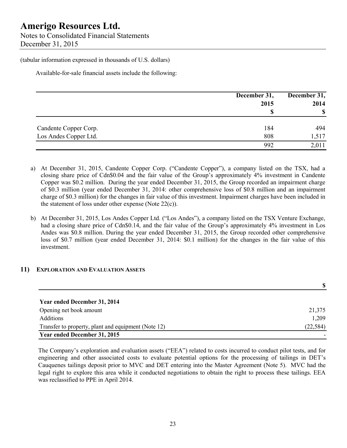Notes to Consolidated Financial Statements December 31, 2015

(tabular information expressed in thousands of U.S. dollars)

Available-for-sale financial assets include the following:

|                       | December 31,<br>2015<br>S | December 31,<br>2014<br>$\mathbf S$ |
|-----------------------|---------------------------|-------------------------------------|
| Candente Copper Corp. | 184                       | 494                                 |
| Los Andes Copper Ltd. | 808                       | 1,517                               |
|                       | 992                       | 2,011                               |

- a) At December 31, 2015, Candente Copper Corp. ("Candente Copper"), a company listed on the TSX, had a closing share price of Cdn\$0.04 and the fair value of the Group's approximately 4% investment in Candente Copper was \$0.2 million. During the year ended December 31, 2015, the Group recorded an impairment charge of \$0.3 million (year ended December 31, 2014: other comprehensive loss of \$0.8 million and an impairment charge of \$0.3 million) for the changes in fair value of this investment. Impairment charges have been included in the statement of loss under other expense (Note 22(c)).
- b) At December 31, 2015, Los Andes Copper Ltd. ("Los Andes"), a company listed on the TSX Venture Exchange, had a closing share price of Cdn\$0.14, and the fair value of the Group's approximately 4% investment in Los Andes was \$0.8 million. During the year ended December 31, 2015, the Group recorded other comprehensive loss of \$0.7 million (year ended December 31, 2014: \$0.1 million) for the changes in the fair value of this investment.

#### **11) EXPLORATION AND EVALUATION ASSETS**

| Year ended December 31, 2014                        |           |  |
|-----------------------------------------------------|-----------|--|
| Opening net book amount                             | 21,375    |  |
| <b>Additions</b>                                    | 1,209     |  |
| Transfer to property, plant and equipment (Note 12) | (22, 584) |  |
| Year ended December 31, 2015                        |           |  |

The Company's exploration and evaluation assets ("EEA") related to costs incurred to conduct pilot tests, and for engineering and other associated costs to evaluate potential options for the processing of tailings in DET's Cauquenes tailings deposit prior to MVC and DET entering into the Master Agreement (Note 5). MVC had the legal right to explore this area while it conducted negotiations to obtain the right to process these tailings. EEA was reclassified to PPE in April 2014.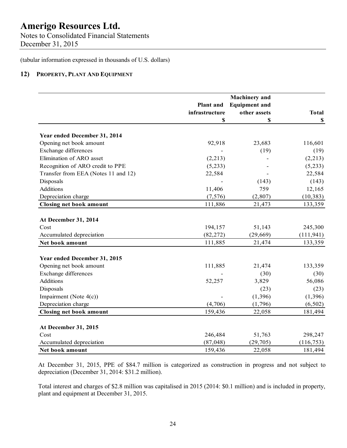Notes to Consolidated Financial Statements December 31, 2015

(tabular information expressed in thousands of U.S. dollars)

#### **12) PROPERTY, PLANT AND EQUIPMENT**

|                                     |                  | <b>Machinery</b> and |              |
|-------------------------------------|------------------|----------------------|--------------|
|                                     | <b>Plant</b> and | <b>Equipment and</b> |              |
|                                     | infrastructure   | other assets         | <b>Total</b> |
|                                     | \$               | \$                   | \$           |
| Year ended December 31, 2014        |                  |                      |              |
| Opening net book amount             | 92,918           | 23,683               | 116,601      |
| Exchange differences                |                  | (19)                 | (19)         |
| Elimination of ARO asset            | (2,213)          |                      | (2,213)      |
| Recognition of ARO credit to PPE    | (5,233)          |                      | (5,233)      |
| Transfer from EEA (Notes 11 and 12) | 22,584           |                      | 22,584       |
| Disposals                           |                  | (143)                | (143)        |
| <b>Additions</b>                    | 11,406           | 759                  | 12,165       |
| Depreciation charge                 | (7, 576)         | (2,807)              | (10, 383)    |
| <b>Closing net book amount</b>      | 111,886          | 21,473               | 133,359      |
| At December 31, 2014                |                  |                      |              |
| Cost                                | 194,157          | 51,143               | 245,300      |
| Accumulated depreciation            | (82, 272)        | (29, 669)            | (111, 941)   |
| Net book amount                     | 111,885          | 21,474               | 133,359      |
| Year ended December 31, 2015        |                  |                      |              |
| Opening net book amount             | 111,885          | 21,474               | 133,359      |
| <b>Exchange differences</b>         |                  | (30)                 | (30)         |
| <b>Additions</b>                    | 52,257           | 3,829                | 56,086       |
| Disposals                           |                  | (23)                 | (23)         |
| Impairment (Note 4(c))              |                  | (1, 396)             | (1, 396)     |
| Depreciation charge                 | (4,706)          | (1,796)              | (6, 502)     |
| <b>Closing net book amount</b>      | 159,436          | 22,058               | 181,494      |
|                                     |                  |                      |              |
| At December 31, 2015                |                  |                      |              |
| Cost                                | 246,484          | 51,763               | 298,247      |
| Accumulated depreciation            | (87, 048)        | (29, 705)            | (116, 753)   |
| Net book amount                     | 159,436          | 22,058               | 181,494      |

At December 31, 2015, PPE of \$84.7 million is categorized as construction in progress and not subject to depreciation (December 31, 2014: \$31.2 million).

Total interest and charges of \$2.8 million was capitalised in 2015 (2014: \$0.1 million) and is included in property, plant and equipment at December 31, 2015.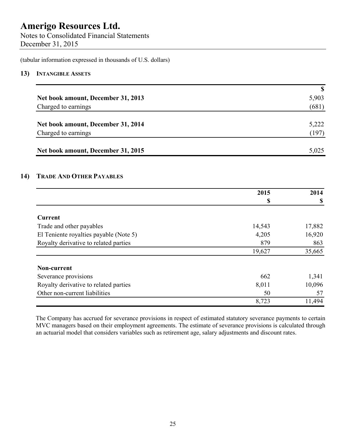Notes to Consolidated Financial Statements December 31, 2015

(tabular information expressed in thousands of U.S. dollars)

#### **13) INTANGIBLE ASSETS**

| Net book amount, December 31, 2013 | 5,903 |
|------------------------------------|-------|
| Charged to earnings                | (681) |
| Net book amount, December 31, 2014 | 5,222 |
| Charged to earnings                | (197) |

#### **14) TRADE AND OTHER PAYABLES**

|                                        | 2015   | 2014   |
|----------------------------------------|--------|--------|
|                                        | \$     | S      |
|                                        |        |        |
| <b>Current</b>                         |        |        |
| Trade and other payables               | 14,543 | 17,882 |
| El Teniente royalties payable (Note 5) | 4,205  | 16,920 |
| Royalty derivative to related parties  | 879    | 863    |
|                                        | 19,627 | 35,665 |
| Non-current                            |        |        |
| Severance provisions                   | 662    | 1,341  |
| Royalty derivative to related parties  | 8,011  | 10,096 |
| Other non-current liabilities          | 50     | 57     |
|                                        | 8,723  | 11,494 |

The Company has accrued for severance provisions in respect of estimated statutory severance payments to certain MVC managers based on their employment agreements. The estimate of severance provisions is calculated through an actuarial model that considers variables such as retirement age, salary adjustments and discount rates.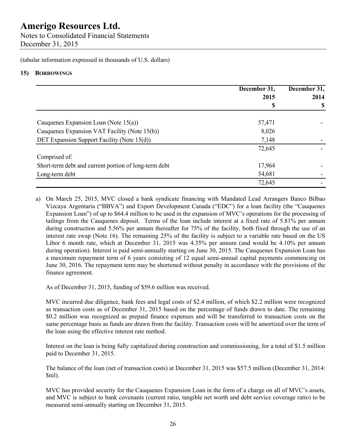Notes to Consolidated Financial Statements December 31, 2015

(tabular information expressed in thousands of U.S. dollars)

#### **15) BORROWINGS**

|                                                       | December 31,<br>2015 | December 31,<br>2014 |  |
|-------------------------------------------------------|----------------------|----------------------|--|
|                                                       | ъ                    |                      |  |
| Cauquenes Expansion Loan (Note $15(a)$ )              | 57,471               |                      |  |
| Cauquenes Expansion VAT Facility (Note 15(b))         | 8,026                |                      |  |
| DET Expansion Support Facility (Note 15(d))           | 7,148                |                      |  |
|                                                       | 72,645               |                      |  |
| Comprised of:                                         |                      |                      |  |
| Short-term debt and current portion of long-term debt | 17,964               |                      |  |
| Long-term debt                                        | 54,681               |                      |  |
|                                                       | 72,645               |                      |  |

a) On March 25, 2015, MVC closed a bank syndicate financing with Mandated Lead Arrangers Banco Bilbao Vizcaya Argentaria ("BBVA") and Export Development Canada ("EDC") for a loan facility (the "Cauquenes Expansion Loan") of up to \$64.4 million to be used in the expansion of MVC's operations for the processing of tailings from the Cauquenes deposit. Terms of the loan include interest at a fixed rate of 5.81% per annum during construction and 5.56% per annum thereafter for 75% of the facility, both fixed through the use of an interest rate swap (Note 16). The remaining 25% of the facility is subject to a variable rate based on the US Libor 6 month rate, which at December 31, 2015 was 4.35% per annum (and would be 4.10% per annum during operation). Interest is paid semi-annually starting on June 30, 2015. The Cauquenes Expansion Loan has a maximum repayment term of 6 years consisting of 12 equal semi-annual capital payments commencing on June 30, 2016. The repayment term may be shortened without penalty in accordance with the provisions of the finance agreement.

As of December 31, 2015, funding of \$59.6 million was received.

MVC incurred due diligence, bank fees and legal costs of \$2.4 million, of which \$2.2 million were recognized as transaction costs as of December 31, 2015 based on the percentage of funds drawn to date. The remaining \$0.2 million was recognized as prepaid finance expenses and will be transferred to transaction costs on the same percentage basis as funds are drawn from the facility. Transaction costs will be amortized over the term of the loan using the effective interest rate method.

Interest on the loan is being fully capitalized during construction and commissioning, for a total of \$1.5 million paid to December 31, 2015.

The balance of the loan (net of transaction costs) at December 31, 2015 was \$57.5 million (December 31, 2014: \$nil).

MVC has provided security for the Cauquenes Expansion Loan in the form of a charge on all of MVC's assets, and MVC is subject to bank covenants (current ratio, tangible net worth and debt service coverage ratio) to be measured semi-annually starting on December 31, 2015.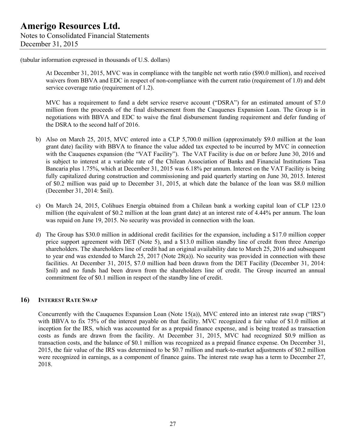At December 31, 2015, MVC was in compliance with the tangible net worth ratio (\$90.0 million), and received waivers from BBVA and EDC in respect of non-compliance with the current ratio (requirement of 1.0) and debt service coverage ratio (requirement of 1.2).

MVC has a requirement to fund a debt service reserve account ("DSRA") for an estimated amount of \$7.0 million from the proceeds of the final disbursement from the Cauquenes Expansion Loan. The Group is in negotiations with BBVA and EDC to waive the final disbursement funding requirement and defer funding of the DSRA to the second half of 2016.

- b) Also on March 25, 2015, MVC entered into a CLP 5,700.0 million (approximately \$9.0 million at the loan grant date) facility with BBVA to finance the value added tax expected to be incurred by MVC in connection with the Cauquenes expansion (the "VAT Facility"). The VAT Facility is due on or before June 30, 2016 and is subject to interest at a variable rate of the Chilean Association of Banks and Financial Institutions Tasa Bancaria plus 1.75%, which at December 31, 2015 was 6.18% per annum. Interest on the VAT Facility is being fully capitalized during construction and commissioning and paid quarterly starting on June 30, 2015. Interest of \$0.2 million was paid up to December 31, 2015, at which date the balance of the loan was \$8.0 million (December 31, 2014: \$nil).
- c) On March 24, 2015, Colihues Energía obtained from a Chilean bank a working capital loan of CLP 123.0 million (the equivalent of \$0.2 million at the loan grant date) at an interest rate of 4.44% per annum. The loan was repaid on June 19, 2015. No security was provided in connection with the loan.
- d) The Group has \$30.0 million in additional credit facilities for the expansion, including a \$17.0 million copper price support agreement with DET (Note 5), and a \$13.0 million standby line of credit from three Amerigo shareholders. The shareholders line of credit had an original availability date to March 25, 2016 and subsequent to year end was extended to March 25, 2017 (Note 28(a)). No security was provided in connection with these facilities. At December 31, 2015, \$7.0 million had been drawn from the DET Facility (December 31, 2014: \$nil) and no funds had been drawn from the shareholders line of credit. The Group incurred an annual commitment fee of \$0.1 million in respect of the standby line of credit.

#### **16) INTEREST RATE SWAP**

Concurrently with the Cauquenes Expansion Loan (Note 15(a)), MVC entered into an interest rate swap ("IRS") with BBVA to fix 75% of the interest payable on that facility. MVC recognized a fair value of \$1.0 million at inception for the IRS, which was accounted for as a prepaid finance expense, and is being treated as transaction costs as funds are drawn from the facility. At December 31, 2015, MVC had recognized \$0.9 million as transaction costs, and the balance of \$0.1 million was recognized as a prepaid finance expense. On December 31, 2015, the fair value of the IRS was determined to be \$0.7 million and mark-to-market adjustments of \$0.2 million were recognized in earnings, as a component of finance gains. The interest rate swap has a term to December 27, 2018.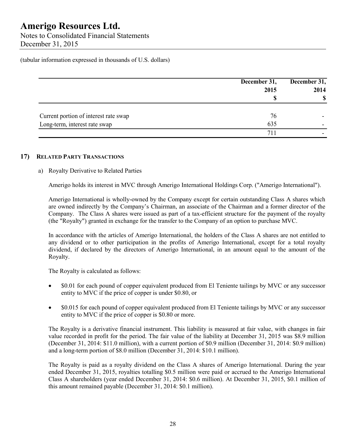Notes to Consolidated Financial Statements December 31, 2015

(tabular information expressed in thousands of U.S. dollars)

|                                       | December 31, | December 31, |  |
|---------------------------------------|--------------|--------------|--|
|                                       | 2015         | 2014         |  |
|                                       |              | <b>S</b>     |  |
| Current portion of interest rate swap | 76           |              |  |
| Long-term, interest rate swap         | 635          |              |  |
|                                       | 711          |              |  |

#### **17) RELATED PARTY TRANSACTIONS**

#### a) Royalty Derivative to Related Parties

Amerigo holds its interest in MVC through Amerigo International Holdings Corp. ("Amerigo International").

Amerigo International is wholly-owned by the Company except for certain outstanding Class A shares which are owned indirectly by the Company's Chairman, an associate of the Chairman and a former director of the Company. The Class A shares were issued as part of a tax-efficient structure for the payment of the royalty (the "Royalty") granted in exchange for the transfer to the Company of an option to purchase MVC.

In accordance with the articles of Amerigo International, the holders of the Class A shares are not entitled to any dividend or to other participation in the profits of Amerigo International, except for a total royalty dividend, if declared by the directors of Amerigo International, in an amount equal to the amount of the Royalty.

The Royalty is calculated as follows:

- \$0.01 for each pound of copper equivalent produced from El Teniente tailings by MVC or any successor entity to MVC if the price of copper is under \$0.80, or
- \$0.015 for each pound of copper equivalent produced from El Teniente tailings by MVC or any successor entity to MVC if the price of copper is \$0.80 or more.

The Royalty is a derivative financial instrument. This liability is measured at fair value, with changes in fair value recorded in profit for the period. The fair value of the liability at December 31, 2015 was \$8.9 million (December 31, 2014: \$11.0 million), with a current portion of \$0.9 million (December 31, 2014: \$0.9 million) and a long-term portion of \$8.0 million (December 31, 2014: \$10.1 million).

The Royalty is paid as a royalty dividend on the Class A shares of Amerigo International. During the year ended December 31, 2015, royalties totalling \$0.5 million were paid or accrued to the Amerigo International Class A shareholders (year ended December 31, 2014: \$0.6 million). At December 31, 2015, \$0.1 million of this amount remained payable (December 31, 2014: \$0.1 million).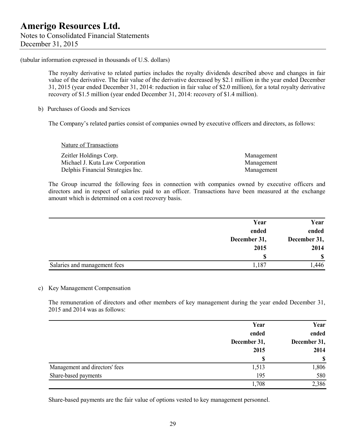The royalty derivative to related parties includes the royalty dividends described above and changes in fair value of the derivative. The fair value of the derivative decreased by \$2.1 million in the year ended December 31, 2015 (year ended December 31, 2014: reduction in fair value of \$2.0 million), for a total royalty derivative recovery of \$1.5 million (year ended December 31, 2014: recovery of \$1.4 million).

b) Purchases of Goods and Services

The Company's related parties consist of companies owned by executive officers and directors, as follows:

Nature of Transactions Zeitler Holdings Corp. Management Michael J. Kuta Law Corporation Management Delphis Financial Strategies Inc. Management

The Group incurred the following fees in connection with companies owned by executive officers and directors and in respect of salaries paid to an officer. Transactions have been measured at the exchange amount which is determined on a cost recovery basis.

|                              | Year         | Year         |
|------------------------------|--------------|--------------|
|                              | ended        | ended        |
|                              | December 31, | December 31, |
|                              | 2015         | 2014         |
|                              | S            | S            |
| Salaries and management fees | 1,187        | 446          |

#### c) Key Management Compensation

The remuneration of directors and other members of key management during the year ended December 31, 2015 and 2014 was as follows:

|                                | Year         | Year          |
|--------------------------------|--------------|---------------|
|                                | ended        | ended         |
|                                | December 31, | December 31,  |
|                                | 2015         | 2014          |
|                                | \$           | <sup>\$</sup> |
| Management and directors' fees | 1,513        | 1,806         |
| Share-based payments           | 195          | 580           |
|                                | 1,708        | 2,386         |

Share-based payments are the fair value of options vested to key management personnel.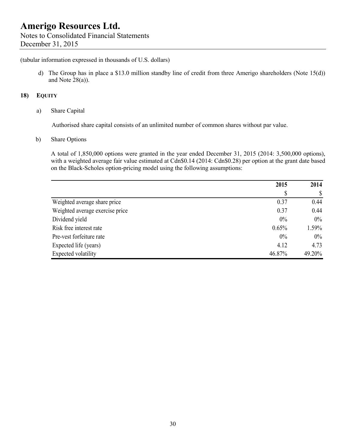d) The Group has in place a \$13.0 million standby line of credit from three Amerigo shareholders (Note 15(d)) and Note 28(a)).

#### **18) EQUITY**

a) Share Capital

Authorised share capital consists of an unlimited number of common shares without par value.

b) Share Options

A total of 1,850,000 options were granted in the year ended December 31, 2015 (2014: 3,500,000 options), with a weighted average fair value estimated at Cdn\$0.14 (2014: Cdn\$0.28) per option at the grant date based on the Black-Scholes option-pricing model using the following assumptions:

|                                 | 2015   | 2014         |
|---------------------------------|--------|--------------|
|                                 | \$     | $\mathbb{S}$ |
| Weighted average share price    | 0.37   | 0.44         |
| Weighted average exercise price | 0.37   | 0.44         |
| Dividend yield                  | 0%     | $0\%$        |
| Risk free interest rate         | 0.65%  | 1.59%        |
| Pre-vest forfeiture rate        | 0%     | $0\%$        |
| Expected life (years)           | 4.12   | 4.73         |
| Expected volatility             | 46.87% | 49.20%       |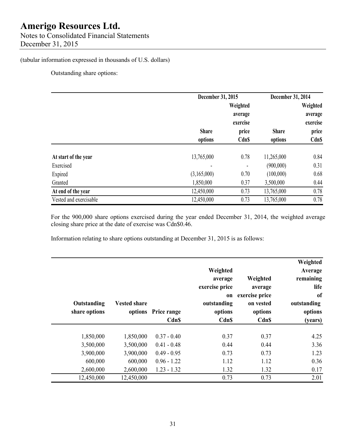Notes to Consolidated Financial Statements December 31, 2015

#### (tabular information expressed in thousands of U.S. dollars)

Outstanding share options:

|                        |             | December 31, 2015                            |                         | December 31, 2014                            |  |
|------------------------|-------------|----------------------------------------------|-------------------------|----------------------------------------------|--|
|                        |             | Weighted                                     |                         | Weighted                                     |  |
|                        |             | average<br>exercise<br><b>Share</b><br>price | <b>Share</b><br>options | average<br>exercise<br>price<br><b>Cdn\$</b> |  |
|                        |             |                                              |                         |                                              |  |
|                        |             |                                              |                         |                                              |  |
|                        | options     | <b>CdnS</b>                                  |                         |                                              |  |
| At start of the year   | 13,765,000  | 0.78                                         | 11,265,000              | 0.84                                         |  |
| Exercised              |             |                                              | (900,000)               | 0.31                                         |  |
| Expired                | (3,165,000) | 0.70                                         | (100,000)               | 0.68                                         |  |
| Granted                | 1,850,000   | 0.37                                         | 3,500,000               | 0.44                                         |  |
| At end of the year     | 12,450,000  | 0.73                                         | 13,765,000              | 0.78                                         |  |
| Vested and exercisable | 12,450,000  | 0.73                                         | 13,765,000              | 0.78                                         |  |

For the 900,000 share options exercised during the year ended December 31, 2014, the weighted average closing share price at the date of exercise was Cdn\$0.46.

Information relating to share options outstanding at December 31, 2015 is as follows:

| Weighted<br>Average<br>remaining<br>life<br>of<br>outstanding<br>options<br>(years) | Weighted<br>average<br>exercise price<br>on vested<br>options<br><b>Cdn\$</b> | Weighted<br>average<br>exercise price<br>on<br>outstanding<br>options<br><b>Cdn\$</b> | options Price range<br>Cdn\$ | <b>Vested share</b> | Outstanding<br>share options |
|-------------------------------------------------------------------------------------|-------------------------------------------------------------------------------|---------------------------------------------------------------------------------------|------------------------------|---------------------|------------------------------|
| 4.25                                                                                | 0.37                                                                          | 0.37                                                                                  | $0.37 - 0.40$                | 1,850,000           | 1,850,000                    |
| 3.36                                                                                | 0.44                                                                          | 0.44                                                                                  | $0.41 - 0.48$                | 3,500,000           | 3,500,000                    |
| 1.23                                                                                | 0.73                                                                          | 0.73                                                                                  | $0.49 - 0.95$                | 3,900,000           | 3,900,000                    |
| 0.36                                                                                | 1.12                                                                          | 1.12                                                                                  | $0.96 - 1.22$                | 600,000             | 600,000                      |
| 0.17                                                                                | 1.32                                                                          | 1.32                                                                                  | $1.23 - 1.32$                | 2,600,000           | 2,600,000                    |
| 2.01                                                                                | 0.73                                                                          | 0.73                                                                                  |                              | 12,450,000          | 12,450,000                   |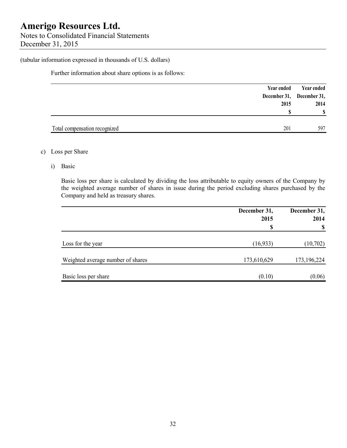Notes to Consolidated Financial Statements December 31, 2015

#### (tabular information expressed in thousands of U.S. dollars)

Further information about share options is as follows:

| <b>Year ended</b>                    | Year ended                |
|--------------------------------------|---------------------------|
|                                      | December 31, December 31, |
| 2015                                 | 2014                      |
|                                      |                           |
|                                      |                           |
| Total compensation recognized<br>201 | 597                       |

#### c) Loss per Share

i) Basic

Basic loss per share is calculated by dividing the loss attributable to equity owners of the Company by the weighted average number of shares in issue during the period excluding shares purchased by the Company and held as treasury shares.

|                                   | December 31, | December 31, |
|-----------------------------------|--------------|--------------|
|                                   | 2015         | 2014         |
|                                   | S            | -S           |
| Loss for the year                 | (16,933)     | (10,702)     |
| Weighted average number of shares | 173,610,629  | 173,196,224  |
| Basic loss per share              | (0.10)       | (0.06)       |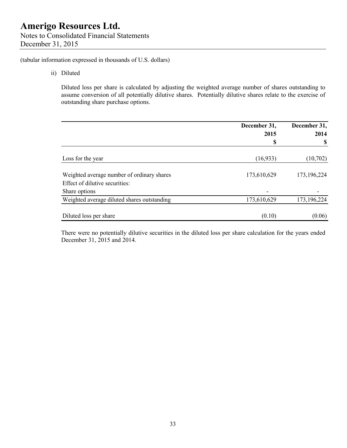ii) Diluted

Diluted loss per share is calculated by adjusting the weighted average number of shares outstanding to assume conversion of all potentially dilutive shares. Potentially dilutive shares relate to the exercise of outstanding share purchase options.

|                                                                              | December 31, | December 31,  |
|------------------------------------------------------------------------------|--------------|---------------|
|                                                                              | 2015         | 2014          |
|                                                                              | S            |               |
| Loss for the year                                                            | (16, 933)    | (10,702)      |
| Weighted average number of ordinary shares<br>Effect of dilutive securities: | 173,610,629  | 173,196,224   |
| Share options                                                                |              |               |
| Weighted average diluted shares outstanding                                  | 173,610,629  | 173, 196, 224 |
| Diluted loss per share                                                       | (0.10)       | (0.06)        |

There were no potentially dilutive securities in the diluted loss per share calculation for the years ended December 31, 2015 and 2014.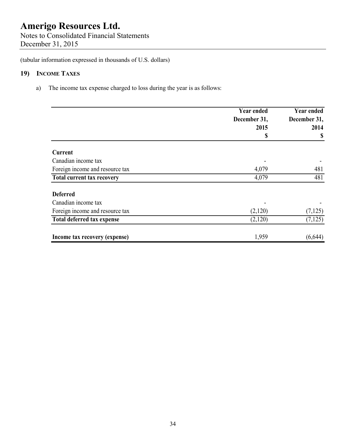Notes to Consolidated Financial Statements December 31, 2015

(tabular information expressed in thousands of U.S. dollars)

#### **19) INCOME TAXES**

a) The income tax expense charged to loss during the year is as follows:

|                                 | Year ended<br>December 31,<br>2015 | Year ended<br>December 31,<br>2014 |
|---------------------------------|------------------------------------|------------------------------------|
|                                 | \$                                 | \$                                 |
| <b>Current</b>                  |                                    |                                    |
| Canadian income tax             |                                    |                                    |
| Foreign income and resource tax | 4,079                              | 481                                |
| Total current tax recovery      | 4,079                              | 481                                |
| <b>Deferred</b>                 |                                    |                                    |
| Canadian income tax             |                                    |                                    |
| Foreign income and resource tax | (2,120)                            | (7, 125)                           |
| Total deferred tax expense      | (2,120)                            | (7, 125)                           |
| Income tax recovery (expense)   | 1,959                              | (6,644)                            |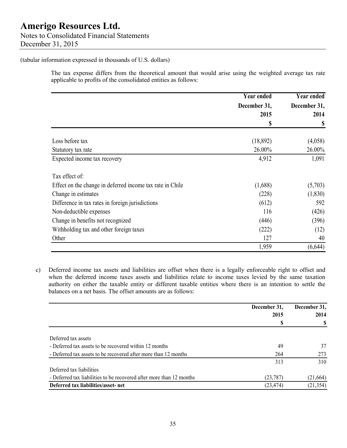The tax expense differs from the theoretical amount that would arise using the weighted average tax rate applicable to profits of the consolidated entities as follows:

|                                                           | Year ended   | Year ended   |
|-----------------------------------------------------------|--------------|--------------|
|                                                           | December 31, | December 31, |
|                                                           | 2015         | 2014         |
|                                                           | \$           | \$           |
| Loss before tax                                           | (18,892)     | (4,058)      |
| Statutory tax rate                                        | 26.00%       | 26.00%       |
| Expected income tax recovery                              | 4,912        | 1,091        |
| Tax effect of:                                            |              |              |
| Effect on the change in deferred income tax rate in Chile | (1,688)      | (5,703)      |
| Change in estimates                                       | (228)        | (1, 830)     |
| Difference in tax rates in foreign jurisdictions          | (612)        | 592          |
| Non-deductible expenses                                   | 116          | (426)        |
| Change in benefits not recognized                         | (446)        | (396)        |
| Withholding tax and other foreign taxes                   | (222)        | (12)         |
| Other                                                     | 127          | 40           |
|                                                           | 1,959        | (6,644)      |

c) Deferred income tax assets and liabilities are offset when there is a legally enforceable right to offset and when the deferred income taxes assets and liabilities relate to income taxes levied by the same taxation authority on either the taxable entity or different taxable entities where there is an intention to settle the balances on a net basis. The offset amounts are as follows:

|                                                                      | December 31, | December 31, |
|----------------------------------------------------------------------|--------------|--------------|
|                                                                      | 2015         | 2014         |
|                                                                      | Ъ            |              |
| Deferred tax assets                                                  |              |              |
| - Deferred tax assets to be recovered within 12 months               | 49           | 37           |
| - Deferred tax assets to be recovered after more than 12 months      | 264          | 273          |
|                                                                      | 313          | 310          |
| Deferred tax liabilities                                             |              |              |
| - Deferred tax liabilities to be recovered after more than 12 months | (23, 787)    | (21, 664)    |
| Deferred tax liabilities/asset-net                                   | (23, 474)    | (21, 354)    |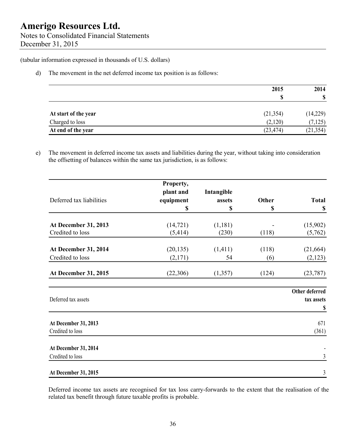d) The movement in the net deferred income tax position is as follows:

|                      | 2015      | 2014        |
|----------------------|-----------|-------------|
|                      | S         | $\mathbf S$ |
| At start of the year | (21, 354) | (14,229)    |
| Charged to loss      | (2,120)   | (7, 125)    |
| At end of the year   | (23, 474) | (21, 354)   |

e) The movement in deferred income tax assets and liabilities during the year, without taking into consideration the offsetting of balances within the same tax jurisdiction, is as follows:

|                                          | Property, |            |       |                |
|------------------------------------------|-----------|------------|-------|----------------|
|                                          | plant and | Intangible |       |                |
| Deferred tax liabilities                 | equipment | assets     | Other | <b>Total</b>   |
|                                          | \$        | \$         | \$    | \$             |
| At December 31, 2013                     | (14, 721) | (1,181)    |       | (15,902)       |
| Credited to loss                         | (5, 414)  | (230)      | (118) | (5,762)        |
| At December 31, 2014                     | (20, 135) | (1, 411)   | (118) | (21, 664)      |
| Credited to loss                         | (2,171)   | 54         | (6)   | (2,123)        |
| At December 31, 2015                     | (22, 306) | (1,357)    | (124) | (23, 787)      |
|                                          |           |            |       | Other deferred |
| Deferred tax assets                      |           |            |       | tax assets     |
|                                          |           |            |       | \$             |
| At December 31, 2013<br>Credited to loss |           |            |       | 671<br>(361)   |
| At December 31, 2014                     |           |            |       |                |
| Credited to loss                         |           |            |       | 3              |
| At December 31, 2015                     |           |            |       | $\mathfrak{Z}$ |

Deferred income tax assets are recognised for tax loss carry-forwards to the extent that the realisation of the related tax benefit through future taxable profits is probable.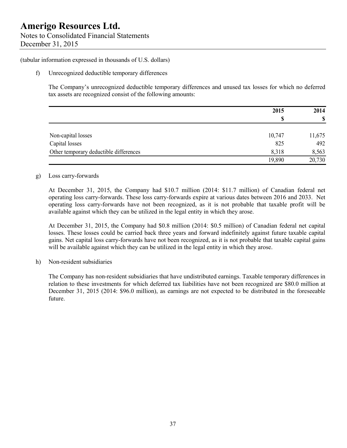f) Unrecognized deductible temporary differences

The Company's unrecognized deductible temporary differences and unused tax losses for which no deferred tax assets are recognized consist of the following amounts:

|                                        | 2015   | 2014        |
|----------------------------------------|--------|-------------|
|                                        | S      | $\mathbf S$ |
| Non-capital losses                     | 10,747 | 11,675      |
| Capital losses                         | 825    | 492         |
| Other temporary deductible differences | 8,318  | 8,563       |
|                                        | 19,890 | 20,730      |

#### g) Loss carry-forwards

At December 31, 2015, the Company had \$10.7 million (2014: \$11.7 million) of Canadian federal net operating loss carry-forwards. These loss carry-forwards expire at various dates between 2016 and 2033. Net operating loss carry-forwards have not been recognized, as it is not probable that taxable profit will be available against which they can be utilized in the legal entity in which they arose.

At December 31, 2015, the Company had \$0.8 million (2014: \$0.5 million) of Canadian federal net capital losses. These losses could be carried back three years and forward indefinitely against future taxable capital gains. Net capital loss carry-forwards have not been recognized, as it is not probable that taxable capital gains will be available against which they can be utilized in the legal entity in which they arose.

h) Non-resident subsidiaries

The Company has non-resident subsidiaries that have undistributed earnings. Taxable temporary differences in relation to these investments for which deferred tax liabilities have not been recognized are \$80.0 million at December 31, 2015 (2014: \$96.0 million), as earnings are not expected to be distributed in the foreseeable future.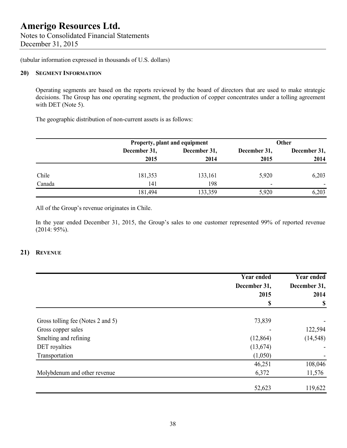Notes to Consolidated Financial Statements December 31, 2015

(tabular information expressed in thousands of U.S. dollars)

#### **20) SEGMENT INFORMATION**

Operating segments are based on the reports reviewed by the board of directors that are used to make strategic decisions. The Group has one operating segment, the production of copper concentrates under a tolling agreement with DET (Note 5).

The geographic distribution of non-current assets is as follows:

|        |              | Property, plant and equipment |                | <b>Other</b> |
|--------|--------------|-------------------------------|----------------|--------------|
|        | December 31, | December 31,                  | December 31,   | December 31, |
|        | 2015<br>2014 |                               | 2015           | 2014         |
| Chile  | 181,353      | 133,161                       | 5,920          | 6,203        |
| Canada | 141          | 198                           | $\blacksquare$ |              |
|        | 181,494      | 133,359                       | 5,920          | 6,203        |

All of the Group's revenue originates in Chile.

In the year ended December 31, 2015, the Group's sales to one customer represented 99% of reported revenue (2014: 95%).

#### **21) REVENUE**

|                                   | <b>Year ended</b> | <b>Year ended</b> |
|-----------------------------------|-------------------|-------------------|
|                                   | December 31,      | December 31,      |
|                                   | 2015              | 2014              |
|                                   | \$                | \$                |
| Gross tolling fee (Notes 2 and 5) | 73,839            |                   |
| Gross copper sales                |                   | 122,594           |
| Smelting and refining             | (12, 864)         | (14, 548)         |
| DET royalties                     | (13,674)          |                   |
| Transportation                    | (1,050)           |                   |
|                                   | 46,251            | 108,046           |
| Molybdenum and other revenue      | 6,372             | 11,576            |
|                                   | 52,623            | 119,622           |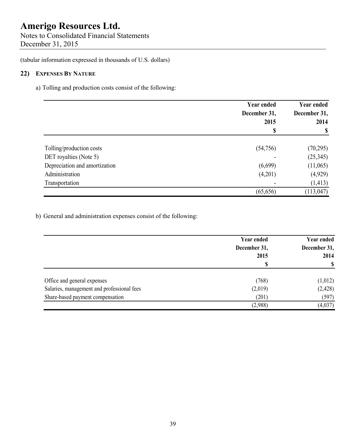Notes to Consolidated Financial Statements December 31, 2015

(tabular information expressed in thousands of U.S. dollars)

#### **22) EXPENSES BY NATURE**

a) Tolling and production costs consist of the following:

|                               | <b>Year ended</b><br>December 31,<br>2015 | <b>Year ended</b><br>December 31,<br>2014 |
|-------------------------------|-------------------------------------------|-------------------------------------------|
|                               | \$                                        | \$                                        |
| Tolling/production costs      | (54,756)                                  | (70, 295)                                 |
| DET royalties (Note 5)        |                                           | (25, 345)                                 |
| Depreciation and amortization | (6,699)                                   | (11,065)                                  |
| Administration                | (4,201)                                   | (4,929)                                   |
| Transportation                |                                           | (1, 413)                                  |
|                               | (65, 656)                                 | (113, 047)                                |

b) General and administration expenses consist of the following:

|                                            | <b>Year ended</b><br>December 31,<br>2015 | <b>Year ended</b><br>December 31,<br>2014 |
|--------------------------------------------|-------------------------------------------|-------------------------------------------|
|                                            | S                                         | S                                         |
| Office and general expenses                | (768)                                     | (1,012)                                   |
| Salaries, management and professional fees | (2,019)                                   | (2, 428)                                  |
| Share-based payment compensation           | (201)                                     | (597)                                     |
|                                            | (2,988)                                   | (4,037)                                   |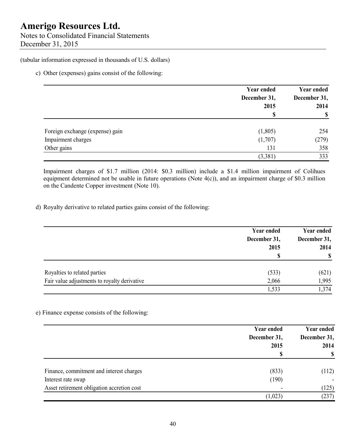### **Amerigo Resources Ltd.** Notes to Consolidated Financial Statements December 31, 2015

(tabular information expressed in thousands of U.S. dollars)

c) Other (expenses) gains consist of the following:

|                                 | <b>Year ended</b><br>December 31,<br>2015 | <b>Year ended</b><br>December 31,<br>2014 |
|---------------------------------|-------------------------------------------|-------------------------------------------|
|                                 | \$                                        | $\mathbf{\$}$                             |
| Foreign exchange (expense) gain | (1,805)                                   | 254                                       |
| Impairment charges              | (1,707)                                   | (279)                                     |
| Other gains                     | 131                                       | 358                                       |
|                                 | (3,381)                                   | 333                                       |

Impairment charges of \$1.7 million (2014: \$0.3 million) include a \$1.4 million impairment of Colihues equipment determined not be usable in future operations (Note 4(c)), and an impairment charge of \$0.3 million on the Candente Copper investment (Note 10).

d) Royalty derivative to related parties gains consist of the following:

|                                              | <b>Year ended</b><br>December 31,<br>2015 | <b>Year ended</b><br>December 31,<br>2014 |
|----------------------------------------------|-------------------------------------------|-------------------------------------------|
|                                              | ъ.                                        | $\mathbf S$                               |
| Royalties to related parties                 | (533)                                     | (621)                                     |
| Fair value adjustments to royalty derivative | 2,066                                     | 1,995                                     |
|                                              | 1,533                                     | 1,374                                     |

e) Finance expense consists of the following:

|                                            | <b>Year ended</b><br>December 31,<br>2015 | <b>Year ended</b><br>December 31,<br>2014 |
|--------------------------------------------|-------------------------------------------|-------------------------------------------|
|                                            |                                           | <sup>\$</sup>                             |
| Finance, commitment and interest charges   | (833)                                     | (112)                                     |
| Interest rate swap                         | (190)                                     | $\overline{\phantom{0}}$                  |
| Asset retirement obligation accretion cost |                                           | (125)                                     |
|                                            | (1,023)                                   | (237)                                     |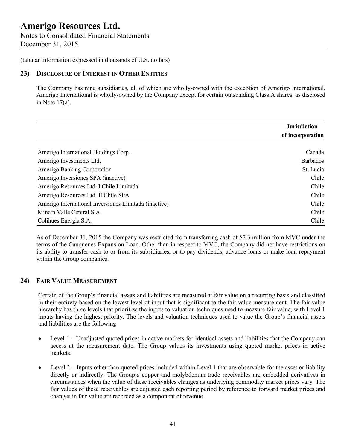Notes to Consolidated Financial Statements December 31, 2015

(tabular information expressed in thousands of U.S. dollars)

#### **23) DISCLOSURE OF INTEREST IN OTHER ENTITIES**

The Company has nine subsidiaries, all of which are wholly-owned with the exception of Amerigo International. Amerigo International is wholly-owned by the Company except for certain outstanding Class A shares, as disclosed in Note 17(a).

|                                                       | <b>Jurisdiction</b><br>of incorporation |
|-------------------------------------------------------|-----------------------------------------|
|                                                       |                                         |
| Amerigo International Holdings Corp.                  | Canada                                  |
| Amerigo Investments Ltd.                              | <b>Barbados</b>                         |
| Amerigo Banking Corporation                           | St. Lucia                               |
| Amerigo Inversiones SPA (inactive)                    | Chile                                   |
| Amerigo Resources Ltd. I Chile Limitada               | Chile                                   |
| Amerigo Resources Ltd. II Chile SPA                   | Chile                                   |
| Amerigo International Inversiones Limitada (inactive) | Chile                                   |
| Minera Valle Central S.A.                             | Chile                                   |
| Colihues Energia S.A.                                 | Chile                                   |

As of December 31, 2015 the Company was restricted from transferring cash of \$7.3 million from MVC under the terms of the Cauquenes Expansion Loan. Other than in respect to MVC, the Company did not have restrictions on its ability to transfer cash to or from its subsidiaries, or to pay dividends, advance loans or make loan repayment within the Group companies.

#### **24) FAIR VALUE MEASUREMENT**

Certain of the Group's financial assets and liabilities are measured at fair value on a recurring basis and classified in their entirety based on the lowest level of input that is significant to the fair value measurement. The fair value hierarchy has three levels that prioritize the inputs to valuation techniques used to measure fair value, with Level 1 inputs having the highest priority. The levels and valuation techniques used to value the Group's financial assets and liabilities are the following:

- Level 1 Unadjusted quoted prices in active markets for identical assets and liabilities that the Company can access at the measurement date. The Group values its investments using quoted market prices in active markets.
- $\bullet$  Level 2 Inputs other than quoted prices included within Level 1 that are observable for the asset or liability directly or indirectly. The Group's copper and molybdenum trade receivables are embedded derivatives in circumstances when the value of these receivables changes as underlying commodity market prices vary. The fair values of these receivables are adjusted each reporting period by reference to forward market prices and changes in fair value are recorded as a component of revenue.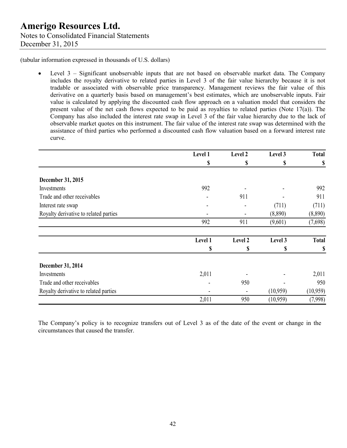• Level 3 – Significant unobservable inputs that are not based on observable market data. The Company includes the royalty derivative to related parties in Level 3 of the fair value hierarchy because it is not tradable or associated with observable price transparency. Management reviews the fair value of this derivative on a quarterly basis based on management's best estimates, which are unobservable inputs. Fair value is calculated by applying the discounted cash flow approach on a valuation model that considers the present value of the net cash flows expected to be paid as royalties to related parties (Note 17(a)). The Company has also included the interest rate swap in Level 3 of the fair value hierarchy due to the lack of observable market quotes on this instrument. The fair value of the interest rate swap was determined with the assistance of third parties who performed a discounted cash flow valuation based on a forward interest rate curve.

|                                       | Level 1 | Level 2 | Level 3  | <b>Total</b> |
|---------------------------------------|---------|---------|----------|--------------|
|                                       | \$      | \$      | S        | \$           |
| December 31, 2015                     |         |         |          |              |
| Investments                           | 992     |         |          | 992          |
| Trade and other receivables           |         | 911     |          | 911          |
| Interest rate swap                    |         |         | (711)    | (711)        |
| Royalty derivative to related parties |         |         | (8,890)  | (8,890)      |
|                                       | 992     | 911     | (9,601)  | (7,698)      |
|                                       |         |         |          |              |
|                                       | Level 1 | Level 2 | Level 3  | <b>Total</b> |
|                                       | \$      | \$      | \$       | \$           |
| December 31, 2014                     |         |         |          |              |
| Investments                           | 2,011   |         |          | 2,011        |
| Trade and other receivables           |         | 950     |          | 950          |
| Royalty derivative to related parties |         |         | (10,959) | (10, 959)    |
|                                       | 2,011   | 950     | (10,959) | (7,998)      |

The Company's policy is to recognize transfers out of Level 3 as of the date of the event or change in the circumstances that caused the transfer.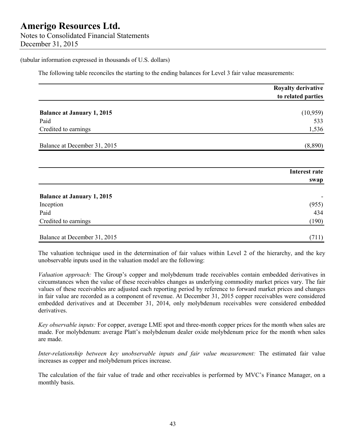### **Amerigo Resources Ltd.** Notes to Consolidated Financial Statements

December 31, 2015

#### (tabular information expressed in thousands of U.S. dollars)

The following table reconciles the starting to the ending balances for Level 3 fair value measurements:

|                                   | <b>Royalty derivative</b><br>to related parties |
|-----------------------------------|-------------------------------------------------|
|                                   |                                                 |
| <b>Balance at January 1, 2015</b> | (10, 959)                                       |
| Paid                              | 533                                             |
| Credited to earnings              | 1,536                                           |
| Balance at December 31, 2015      | (8,890)                                         |
|                                   |                                                 |
|                                   | Interest rate                                   |
|                                   | swap                                            |

| <b>Balance at January 1, 2015</b> |       |
|-----------------------------------|-------|
| Inception                         | (955) |
| Paid                              | 434   |
| Credited to earnings              | (190) |
| Balance at December 31, 2015      | (711) |

The valuation technique used in the determination of fair values within Level 2 of the hierarchy, and the key unobservable inputs used in the valuation model are the following:

*Valuation approach:* The Group's copper and molybdenum trade receivables contain embedded derivatives in circumstances when the value of these receivables changes as underlying commodity market prices vary. The fair values of these receivables are adjusted each reporting period by reference to forward market prices and changes in fair value are recorded as a component of revenue. At December 31, 2015 copper receivables were considered embedded derivatives and at December 31, 2014, only molybdenum receivables were considered embedded derivatives.

*Key observable inputs:* For copper, average LME spot and three-month copper prices for the month when sales are made. For molybdenum: average Platt's molybdenum dealer oxide molybdenum price for the month when sales are made.

*Inter-relationship between key unobservable inputs and fair value measurement:* The estimated fair value increases as copper and molybdenum prices increase.

The calculation of the fair value of trade and other receivables is performed by MVC's Finance Manager, on a monthly basis.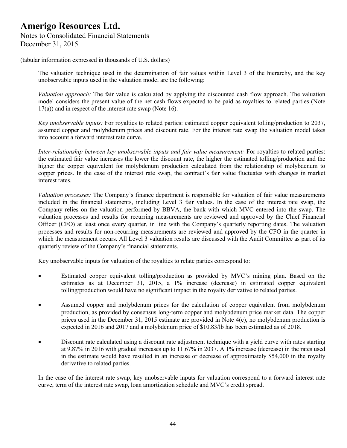The valuation technique used in the determination of fair values within Level 3 of the hierarchy, and the key unobservable inputs used in the valuation model are the following:

*Valuation approach:* The fair value is calculated by applying the discounted cash flow approach. The valuation model considers the present value of the net cash flows expected to be paid as royalties to related parties (Note 17(a)) and in respect of the interest rate swap (Note 16).

*Key unobservable inputs:* For royalties to related parties: estimated copper equivalent tolling/production to 2037, assumed copper and molybdenum prices and discount rate. For the interest rate swap the valuation model takes into account a forward interest rate curve.

*Inter-relationship between key unobservable inputs and fair value measurement:* For royalties to related parties: the estimated fair value increases the lower the discount rate, the higher the estimated tolling/production and the higher the copper equivalent for molybdenum production calculated from the relationship of molybdenum to copper prices. In the case of the interest rate swap, the contract's fair value fluctuates with changes in market interest rates.

*Valuation processes:* The Company's finance department is responsible for valuation of fair value measurements included in the financial statements, including Level 3 fair values. In the case of the interest rate swap, the Company relies on the valuation performed by BBVA, the bank with which MVC entered into the swap. The valuation processes and results for recurring measurements are reviewed and approved by the Chief Financial Officer (CFO) at least once every quarter, in line with the Company's quarterly reporting dates. The valuation processes and results for non-recurring measurements are reviewed and approved by the CFO in the quarter in which the measurement occurs. All Level 3 valuation results are discussed with the Audit Committee as part of its quarterly review of the Company's financial statements.

Key unobservable inputs for valuation of the royalties to relate parties correspond to:

- Estimated copper equivalent tolling/production as provided by MVC's mining plan. Based on the estimates as at December 31, 2015, a 1% increase (decrease) in estimated copper equivalent tolling/production would have no significant impact in the royalty derivative to related parties.
- Assumed copper and molybdenum prices for the calculation of copper equivalent from molybdenum production, as provided by consensus long-term copper and molybdenum price market data. The copper prices used in the December 31, 2015 estimate are provided in Note 4(c), no molybdenum production is expected in 2016 and 2017 and a molybdenum price of \$10.83/lb has been estimated as of 2018.
- Discount rate calculated using a discount rate adjustment technique with a yield curve with rates starting at 9.87% in 2016 with gradual increases up to 11.67% in 2037. A 1% increase (decrease) in the rates used in the estimate would have resulted in an increase or decrease of approximately \$54,000 in the royalty derivative to related parties.

In the case of the interest rate swap, key unobservable inputs for valuation correspond to a forward interest rate curve, term of the interest rate swap, loan amortization schedule and MVC's credit spread.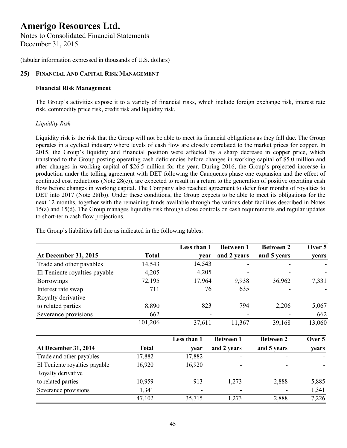### **Amerigo Resources Ltd.** Notes to Consolidated Financial Statements December 31, 2015

(tabular information expressed in thousands of U.S. dollars)

#### **25) FINANCIAL AND CAPITAL RISK MANAGEMENT**

#### **Financial Risk Management**

The Group's activities expose it to a variety of financial risks, which include foreign exchange risk, interest rate risk, commodity price risk, credit risk and liquidity risk.

#### *Liquidity Risk*

Liquidity risk is the risk that the Group will not be able to meet its financial obligations as they fall due. The Group operates in a cyclical industry where levels of cash flow are closely correlated to the market prices for copper. In 2015, the Group's liquidity and financial position were affected by a sharp decrease in copper price, which translated to the Group posting operating cash deficiencies before changes in working capital of \$5.0 million and after changes in working capital of \$26.5 million for the year. During 2016, the Group's projected increase in production under the tolling agreement with DET following the Cauquenes phase one expansion and the effect of continued cost reductions (Note  $28(c)$ ), are expected to result in a return to the generation of positive operating cash flow before changes in working capital. The Company also reached agreement to defer four months of royalties to DET into 2017 (Note 28(b)). Under these conditions, the Group expects to be able to meet its obligations for the next 12 months, together with the remaining funds available through the various debt facilities described in Notes 15(a) and 15(d). The Group manages liquidity risk through close controls on cash requirements and regular updates to short-term cash flow projections.

|                               |              | Less than 1 | <b>Between 1</b> | <b>Between 2</b> | Over 5 |
|-------------------------------|--------------|-------------|------------------|------------------|--------|
| <b>At December 31, 2015</b>   | <b>Total</b> | year        | and 2 years      | and 5 years      | years  |
| Trade and other payables      | 14,543       | 14,543      |                  |                  |        |
| El Teniente royalties payable | 4,205        | 4,205       |                  |                  |        |
| <b>Borrowings</b>             | 72,195       | 17,964      | 9,938            | 36,962           | 7,331  |
| Interest rate swap            | 711          | 76          | 635              |                  |        |
| Royalty derivative            |              |             |                  |                  |        |
| to related parties            | 8,890        | 823         | 794              | 2,206            | 5,067  |
| Severance provisions          | 662          |             |                  |                  | 662    |
|                               | 101,206      | 37,611      | 11,367           | 39,168           | 13,060 |

The Group's liabilities fall due as indicated in the following tables:

|                               |              | Less than 1              | <b>Between 1</b>         | <b>Between 2</b>         | Over 5 |
|-------------------------------|--------------|--------------------------|--------------------------|--------------------------|--------|
| <b>At December 31, 2014</b>   | <b>Total</b> | vear                     | and 2 years              | and 5 years              | years  |
| Trade and other payables      | 17,882       | 17,882                   |                          |                          |        |
| El Teniente royalties payable | 16,920       | 16,920                   |                          | $\,$                     |        |
| Royalty derivative            |              |                          |                          |                          |        |
| to related parties            | 10,959       | 913                      | 1,273                    | 2,888                    | 5,885  |
| Severance provisions          | 1,341        | $\overline{\phantom{0}}$ | $\overline{\phantom{0}}$ | $\overline{\phantom{0}}$ | 1,341  |
|                               | 47,102       | 35,715                   | 1,273                    | 2,888                    | 7,226  |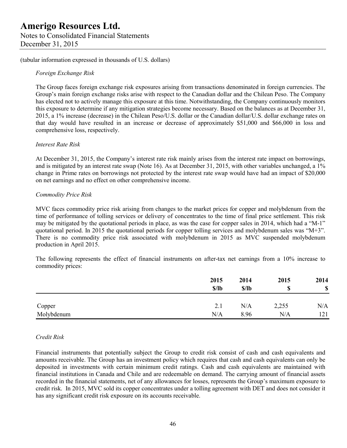Notes to Consolidated Financial Statements December 31, 2015

#### (tabular information expressed in thousands of U.S. dollars)

#### *Foreign Exchange Risk*

The Group faces foreign exchange risk exposures arising from transactions denominated in foreign currencies. The Group's main foreign exchange risks arise with respect to the Canadian dollar and the Chilean Peso. The Company has elected not to actively manage this exposure at this time. Notwithstanding, the Company continuously monitors this exposure to determine if any mitigation strategies become necessary. Based on the balances as at December 31, 2015, a 1% increase (decrease) in the Chilean Peso/U.S. dollar or the Canadian dollar/U.S. dollar exchange rates on that day would have resulted in an increase or decrease of approximately \$51,000 and \$66,000 in loss and comprehensive loss, respectively.

#### *Interest Rate Risk*

At December 31, 2015, the Company's interest rate risk mainly arises from the interest rate impact on borrowings, and is mitigated by an interest rate swap (Note 16). As at December 31, 2015, with other variables unchanged, a 1% change in Prime rates on borrowings not protected by the interest rate swap would have had an impact of \$20,000 on net earnings and no effect on other comprehensive income.

#### *Commodity Price Risk*

MVC faces commodity price risk arising from changes to the market prices for copper and molybdenum from the time of performance of tolling services or delivery of concentrates to the time of final price settlement. This risk may be mitigated by the quotational periods in place, as was the case for copper sales in 2014, which had a "M-1" quotational period. In 2015 the quotational periods for copper tolling services and molybdenum sales was "M+3". There is no commodity price risk associated with molybdenum in 2015 as MVC suspended molybdenum production in April 2015.

The following represents the effect of financial instruments on after-tax net earnings from a 10% increase to commodity prices:

|            | 2015  | 2014<br>\$/lb | 2015<br>\$ | 2014<br>$\mathbb S$ |
|------------|-------|---------------|------------|---------------------|
|            | \$/lb |               |            |                     |
| Copper     | 2.1   | N/A           | 2,255      | N/A                 |
| Molybdenum | N/A   | 8.96          | N/A        | 121                 |

#### *Credit Risk*

Financial instruments that potentially subject the Group to credit risk consist of cash and cash equivalents and amounts receivable. The Group has an investment policy which requires that cash and cash equivalents can only be deposited in investments with certain minimum credit ratings. Cash and cash equivalents are maintained with financial institutions in Canada and Chile and are redeemable on demand. The carrying amount of financial assets recorded in the financial statements, net of any allowances for losses, represents the Group's maximum exposure to credit risk. In 2015, MVC sold its copper concentrates under a tolling agreement with DET and does not consider it has any significant credit risk exposure on its accounts receivable.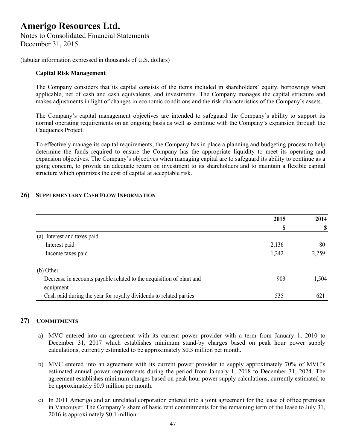#### **Capital Risk Management**

The Company considers that its capital consists of the items included in shareholders' equity, borrowings when applicable, net of cash and cash equivalents, and investments. The Company manages the capital structure and makes adjustments in light of changes in economic conditions and the risk characteristics of the Company's assets.

The Company's capital management objectives are intended to safeguard the Company's ability to support its normal operating requirements on an ongoing basis as well as continue with the Company's expansion through the Cauquenes Project.

To effectively manage its capital requirements, the Company has in place a planning and budgeting process to help determine the funds required to ensure the Company has the appropriate liquidity to meet its operating and expansion objectives. The Company's objectives when managing capital are to safeguard its ability to continue as a going concern, to provide an adequate return on investment to its shareholders and to maintain a flexible capital structure which optimizes the cost of capital at acceptable risk.

#### **26) SUPPLEMENTARY CASH FLOW INFORMATION**

|                                                                      | 2015<br>S | 2014<br>\$ |
|----------------------------------------------------------------------|-----------|------------|
|                                                                      |           |            |
| Interest and taxes paid<br>(a)                                       |           |            |
| Interest paid                                                        | 2,136     | 80         |
| Income taxes paid                                                    | 1,242     | 2,259      |
| (b) Other                                                            |           |            |
| Decrease in accounts payable related to the acquisition of plant and | 903       | 1,504      |
| equipment                                                            |           |            |
| Cash paid during the year for royalty dividends to related parties   | 535       | 621        |

#### **27) COMMITMENTS**

- a) MVC entered into an agreement with its current power provider with a term from January 1, 2010 to December 31, 2017 which establishes minimum stand-by charges based on peak hour power supply calculations, currently estimated to be approximately \$0.3 million per month.
- b) MVC entered into an agreement with its current power provider to supply approximately 70% of MVC's estimated annual power requirements during the period from January 1, 2018 to December 31, 2024. The agreement establishes minimum charges based on peak hour power supply calculations, currently estimated to be approximately \$0.9 million per month.
- c) In 2011 Amerigo and an unrelated corporation entered into a joint agreement for the lease of office premises in Vancouver. The Company's share of basic rent commitments for the remaining term of the lease to July 31, 2016 is approximately \$0.1 million.